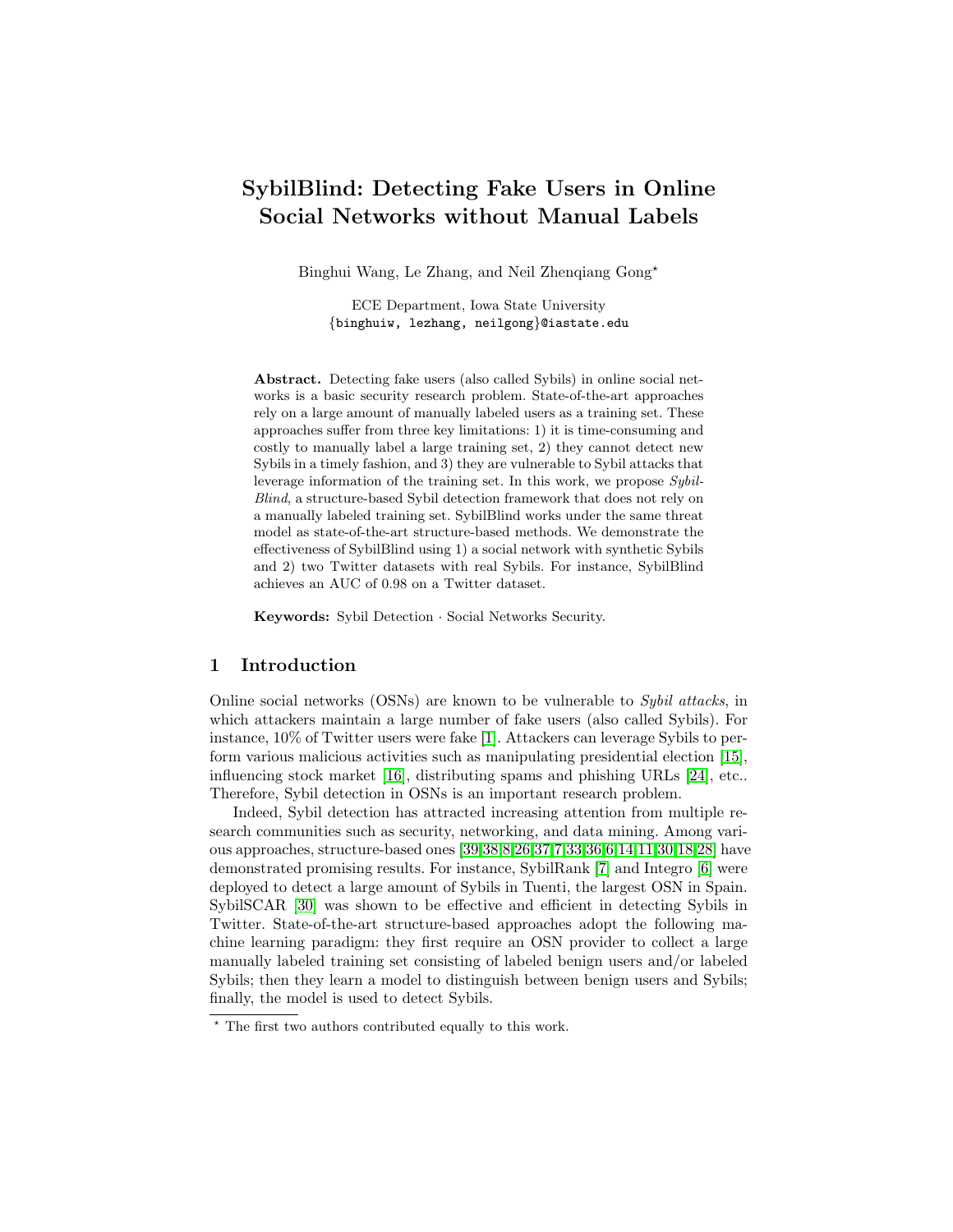# SybilBlind: Detecting Fake Users in Online Social Networks without Manual Labels

Binghui Wang, Le Zhang, and Neil Zhenqiang Gong\*

ECE Department, Iowa State University {binghuiw, lezhang, neilgong}@iastate.edu

Abstract. Detecting fake users (also called Sybils) in online social networks is a basic security research problem. State-of-the-art approaches rely on a large amount of manually labeled users as a training set. These approaches suffer from three key limitations: 1) it is time-consuming and costly to manually label a large training set, 2) they cannot detect new Sybils in a timely fashion, and 3) they are vulnerable to Sybil attacks that leverage information of the training set. In this work, we propose Sybil-Blind, a structure-based Sybil detection framework that does not rely on a manually labeled training set. SybilBlind works under the same threat model as state-of-the-art structure-based methods. We demonstrate the effectiveness of SybilBlind using 1) a social network with synthetic Sybils and 2) two Twitter datasets with real Sybils. For instance, SybilBlind achieves an AUC of 0.98 on a Twitter dataset.

Keywords: Sybil Detection · Social Networks Security.

# 1 Introduction

Online social networks (OSNs) are known to be vulnerable to Sybil attacks, in which attackers maintain a large number of fake users (also called Sybils). For instance, 10% of Twitter users were fake [\[1\]](#page-16-0). Attackers can leverage Sybils to perform various malicious activities such as manipulating presidential election [\[15\]](#page-17-0), influencing stock market [\[16\]](#page-17-1), distributing spams and phishing URLs [\[24\]](#page-17-2), etc.. Therefore, Sybil detection in OSNs is an important research problem.

Indeed, Sybil detection has attracted increasing attention from multiple research communities such as security, networking, and data mining. Among various approaches, structure-based ones [\[39,](#page-18-0)[38,](#page-18-1)[8,](#page-17-3)[26,](#page-17-4)[37](#page-18-2)[,7,](#page-17-5)[33,](#page-18-3)[36,](#page-18-4)[6](#page-17-6)[,14,](#page-17-7)[11,](#page-17-8)[30,](#page-18-5)[18,](#page-17-9)[28\]](#page-17-10) have demonstrated promising results. For instance, SybilRank [\[7\]](#page-17-5) and Integro [\[6\]](#page-17-6) were deployed to detect a large amount of Sybils in Tuenti, the largest OSN in Spain. SybilSCAR [\[30\]](#page-18-5) was shown to be effective and efficient in detecting Sybils in Twitter. State-of-the-art structure-based approaches adopt the following machine learning paradigm: they first require an OSN provider to collect a large manually labeled training set consisting of labeled benign users and/or labeled Sybils; then they learn a model to distinguish between benign users and Sybils; finally, the model is used to detect Sybils.

<sup>?</sup> The first two authors contributed equally to this work.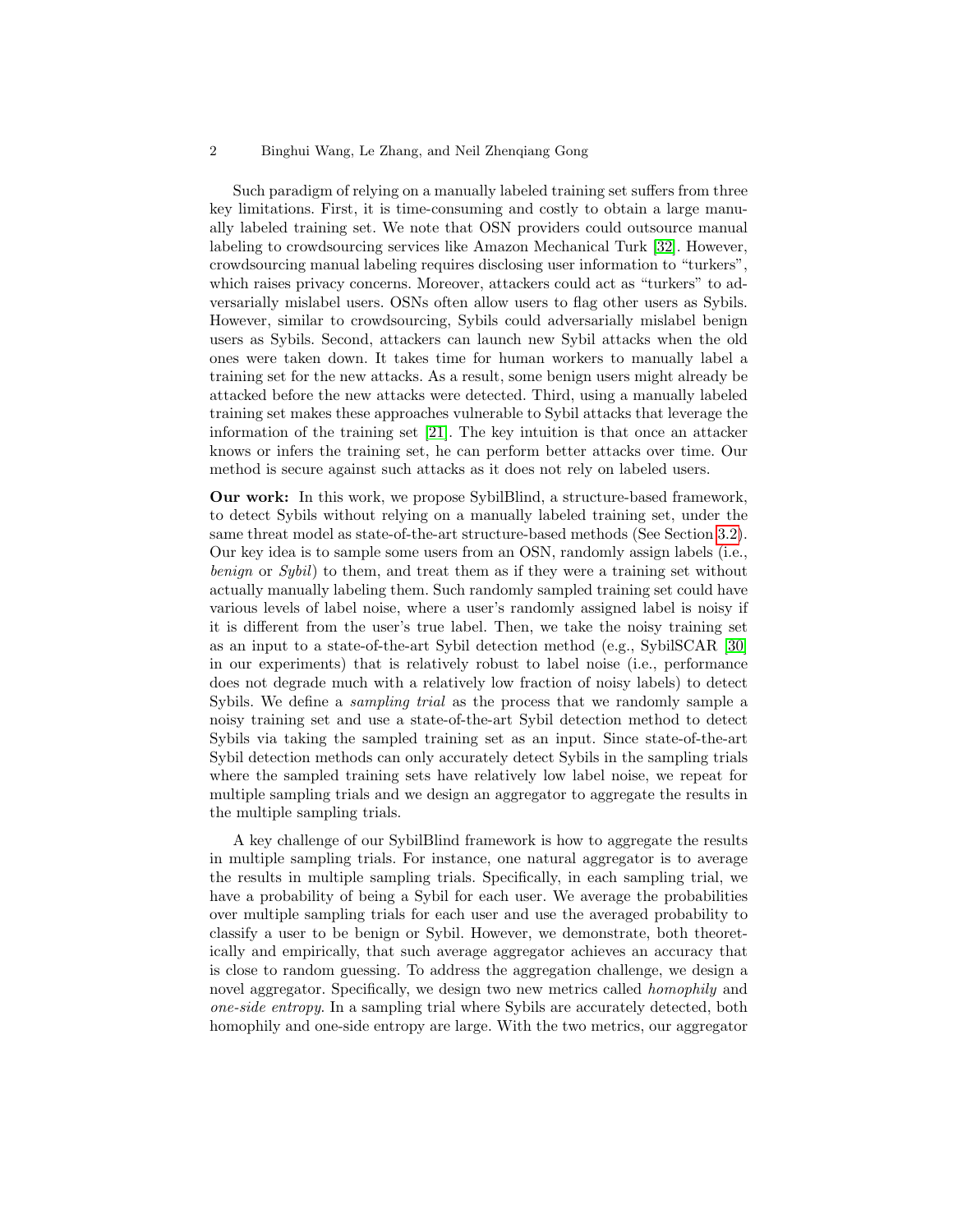Such paradigm of relying on a manually labeled training set suffers from three key limitations. First, it is time-consuming and costly to obtain a large manually labeled training set. We note that OSN providers could outsource manual labeling to crowdsourcing services like Amazon Mechanical Turk [\[32\]](#page-18-6). However, crowdsourcing manual labeling requires disclosing user information to "turkers", which raises privacy concerns. Moreover, attackers could act as "turkers" to adversarially mislabel users. OSNs often allow users to flag other users as Sybils. However, similar to crowdsourcing, Sybils could adversarially mislabel benign users as Sybils. Second, attackers can launch new Sybil attacks when the old ones were taken down. It takes time for human workers to manually label a training set for the new attacks. As a result, some benign users might already be attacked before the new attacks were detected. Third, using a manually labeled training set makes these approaches vulnerable to Sybil attacks that leverage the information of the training set [\[21\]](#page-17-11). The key intuition is that once an attacker knows or infers the training set, he can perform better attacks over time. Our method is secure against such attacks as it does not rely on labeled users.

Our work: In this work, we propose SybilBlind, a structure-based framework, to detect Sybils without relying on a manually labeled training set, under the same threat model as state-of-the-art structure-based methods (See Section [3.2\)](#page-4-0). Our key idea is to sample some users from an OSN, randomly assign labels (i.e., benign or Sybil) to them, and treat them as if they were a training set without actually manually labeling them. Such randomly sampled training set could have various levels of label noise, where a user's randomly assigned label is noisy if it is different from the user's true label. Then, we take the noisy training set as an input to a state-of-the-art Sybil detection method (e.g., SybilSCAR [\[30\]](#page-18-5) in our experiments) that is relatively robust to label noise (i.e., performance does not degrade much with a relatively low fraction of noisy labels) to detect Sybils. We define a *sampling trial* as the process that we randomly sample a noisy training set and use a state-of-the-art Sybil detection method to detect Sybils via taking the sampled training set as an input. Since state-of-the-art Sybil detection methods can only accurately detect Sybils in the sampling trials where the sampled training sets have relatively low label noise, we repeat for multiple sampling trials and we design an aggregator to aggregate the results in the multiple sampling trials.

A key challenge of our SybilBlind framework is how to aggregate the results in multiple sampling trials. For instance, one natural aggregator is to average the results in multiple sampling trials. Specifically, in each sampling trial, we have a probability of being a Sybil for each user. We average the probabilities over multiple sampling trials for each user and use the averaged probability to classify a user to be benign or Sybil. However, we demonstrate, both theoretically and empirically, that such average aggregator achieves an accuracy that is close to random guessing. To address the aggregation challenge, we design a novel aggregator. Specifically, we design two new metrics called homophily and one-side entropy. In a sampling trial where Sybils are accurately detected, both homophily and one-side entropy are large. With the two metrics, our aggregator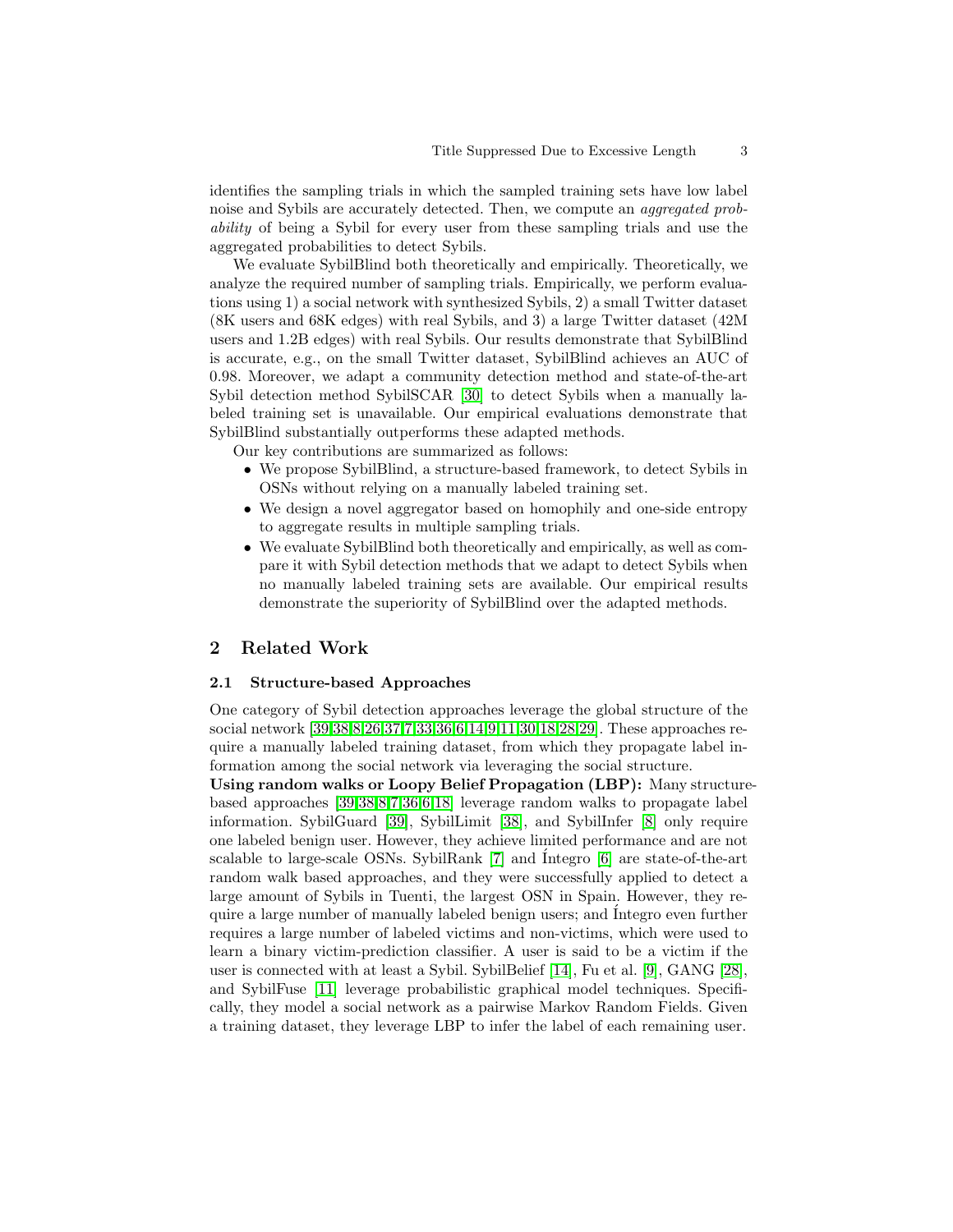identifies the sampling trials in which the sampled training sets have low label noise and Sybils are accurately detected. Then, we compute an aggregated probability of being a Sybil for every user from these sampling trials and use the aggregated probabilities to detect Sybils.

We evaluate SybilBlind both theoretically and empirically. Theoretically, we analyze the required number of sampling trials. Empirically, we perform evaluations using 1) a social network with synthesized Sybils, 2) a small Twitter dataset (8K users and 68K edges) with real Sybils, and 3) a large Twitter dataset (42M users and 1.2B edges) with real Sybils. Our results demonstrate that SybilBlind is accurate, e.g., on the small Twitter dataset, SybilBlind achieves an AUC of 0.98. Moreover, we adapt a community detection method and state-of-the-art Sybil detection method SybilSCAR [\[30\]](#page-18-5) to detect Sybils when a manually labeled training set is unavailable. Our empirical evaluations demonstrate that SybilBlind substantially outperforms these adapted methods.

Our key contributions are summarized as follows:

- We propose SybilBlind, a structure-based framework, to detect Sybils in OSNs without relying on a manually labeled training set.
- We design a novel aggregator based on homophily and one-side entropy to aggregate results in multiple sampling trials.
- We evaluate SybilBlind both theoretically and empirically, as well as compare it with Sybil detection methods that we adapt to detect Sybils when no manually labeled training sets are available. Our empirical results demonstrate the superiority of SybilBlind over the adapted methods.

# 2 Related Work

### 2.1 Structure-based Approaches

One category of Sybil detection approaches leverage the global structure of the social network [\[39](#page-18-0)[,38,](#page-18-1)[8,](#page-17-3)[26,](#page-17-4)[37](#page-18-2)[,7,](#page-17-5)[33,](#page-18-3)[36](#page-18-4)[,6,](#page-17-6)[14,](#page-17-7)[9,](#page-17-12)[11](#page-17-8)[,30,](#page-18-5)[18,](#page-17-9)[28,](#page-17-10)[29\]](#page-17-13). These approaches require a manually labeled training dataset, from which they propagate label information among the social network via leveraging the social structure.

Using random walks or Loopy Belief Propagation (LBP): Many structurebased approaches [\[39,](#page-18-0)[38,](#page-18-1)[8](#page-17-3)[,7,](#page-17-5)[36,](#page-18-4)[6](#page-17-6)[,18\]](#page-17-9) leverage random walks to propagate label information. SybilGuard [\[39\]](#page-18-0), SybilLimit [\[38\]](#page-18-1), and SybilInfer [\[8\]](#page-17-3) only require one labeled benign user. However, they achieve limited performance and are not scalable to large-scale OSNs. SybilRank [\[7\]](#page-17-5) and Integro [\[6\]](#page-17-6) are state-of-the-art random walk based approaches, and they were successfully applied to detect a large amount of Sybils in Tuenti, the largest OSN in Spain. However, they require a large number of manually labeled benign users; and Integro even further requires a large number of labeled victims and non-victims, which were used to learn a binary victim-prediction classifier. A user is said to be a victim if the user is connected with at least a Sybil. SybilBelief [\[14\]](#page-17-7), Fu et al. [\[9\]](#page-17-12), GANG [\[28\]](#page-17-10), and SybilFuse [\[11\]](#page-17-8) leverage probabilistic graphical model techniques. Specifically, they model a social network as a pairwise Markov Random Fields. Given a training dataset, they leverage LBP to infer the label of each remaining user.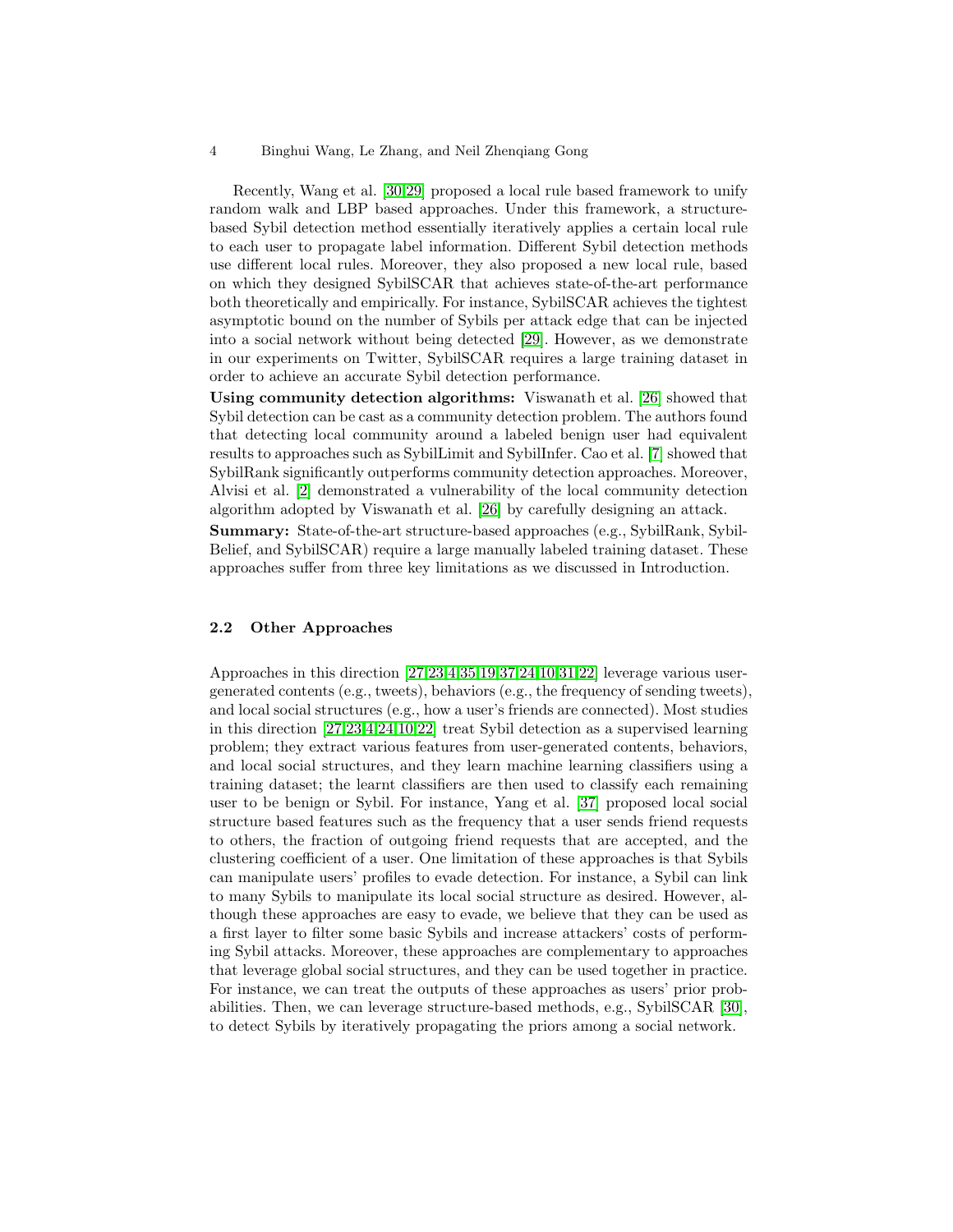Recently, Wang et al. [\[30](#page-18-5)[,29\]](#page-17-13) proposed a local rule based framework to unify random walk and LBP based approaches. Under this framework, a structurebased Sybil detection method essentially iteratively applies a certain local rule to each user to propagate label information. Different Sybil detection methods use different local rules. Moreover, they also proposed a new local rule, based on which they designed SybilSCAR that achieves state-of-the-art performance both theoretically and empirically. For instance, SybilSCAR achieves the tightest asymptotic bound on the number of Sybils per attack edge that can be injected into a social network without being detected [\[29\]](#page-17-13). However, as we demonstrate in our experiments on Twitter, SybilSCAR requires a large training dataset in order to achieve an accurate Sybil detection performance.

Using community detection algorithms: Viswanath et al. [\[26\]](#page-17-4) showed that Sybil detection can be cast as a community detection problem. The authors found that detecting local community around a labeled benign user had equivalent results to approaches such as SybilLimit and SybilInfer. Cao et al. [\[7\]](#page-17-5) showed that SybilRank significantly outperforms community detection approaches. Moreover, Alvisi et al. [\[2\]](#page-16-1) demonstrated a vulnerability of the local community detection algorithm adopted by Viswanath et al. [\[26\]](#page-17-4) by carefully designing an attack.

Summary: State-of-the-art structure-based approaches (e.g., SybilRank, Sybil-Belief, and SybilSCAR) require a large manually labeled training dataset. These approaches suffer from three key limitations as we discussed in Introduction.

### 2.2 Other Approaches

Approaches in this direction [\[27](#page-17-14)[,23,](#page-17-15)[4,](#page-16-2)[35,](#page-18-7)[19](#page-17-16)[,37,](#page-18-2)[24,](#page-17-2)[10,](#page-17-17)[31](#page-18-8)[,22\]](#page-17-18) leverage various usergenerated contents (e.g., tweets), behaviors (e.g., the frequency of sending tweets), and local social structures (e.g., how a user's friends are connected). Most studies in this direction [\[27,](#page-17-14)[23](#page-17-15)[,4,](#page-16-2)[24,](#page-17-2)[10,](#page-17-17)[22\]](#page-17-18) treat Sybil detection as a supervised learning problem; they extract various features from user-generated contents, behaviors, and local social structures, and they learn machine learning classifiers using a training dataset; the learnt classifiers are then used to classify each remaining user to be benign or Sybil. For instance, Yang et al. [\[37\]](#page-18-2) proposed local social structure based features such as the frequency that a user sends friend requests to others, the fraction of outgoing friend requests that are accepted, and the clustering coefficient of a user. One limitation of these approaches is that Sybils can manipulate users' profiles to evade detection. For instance, a Sybil can link to many Sybils to manipulate its local social structure as desired. However, although these approaches are easy to evade, we believe that they can be used as a first layer to filter some basic Sybils and increase attackers' costs of performing Sybil attacks. Moreover, these approaches are complementary to approaches that leverage global social structures, and they can be used together in practice. For instance, we can treat the outputs of these approaches as users' prior probabilities. Then, we can leverage structure-based methods, e.g., SybilSCAR [\[30\]](#page-18-5), to detect Sybils by iteratively propagating the priors among a social network.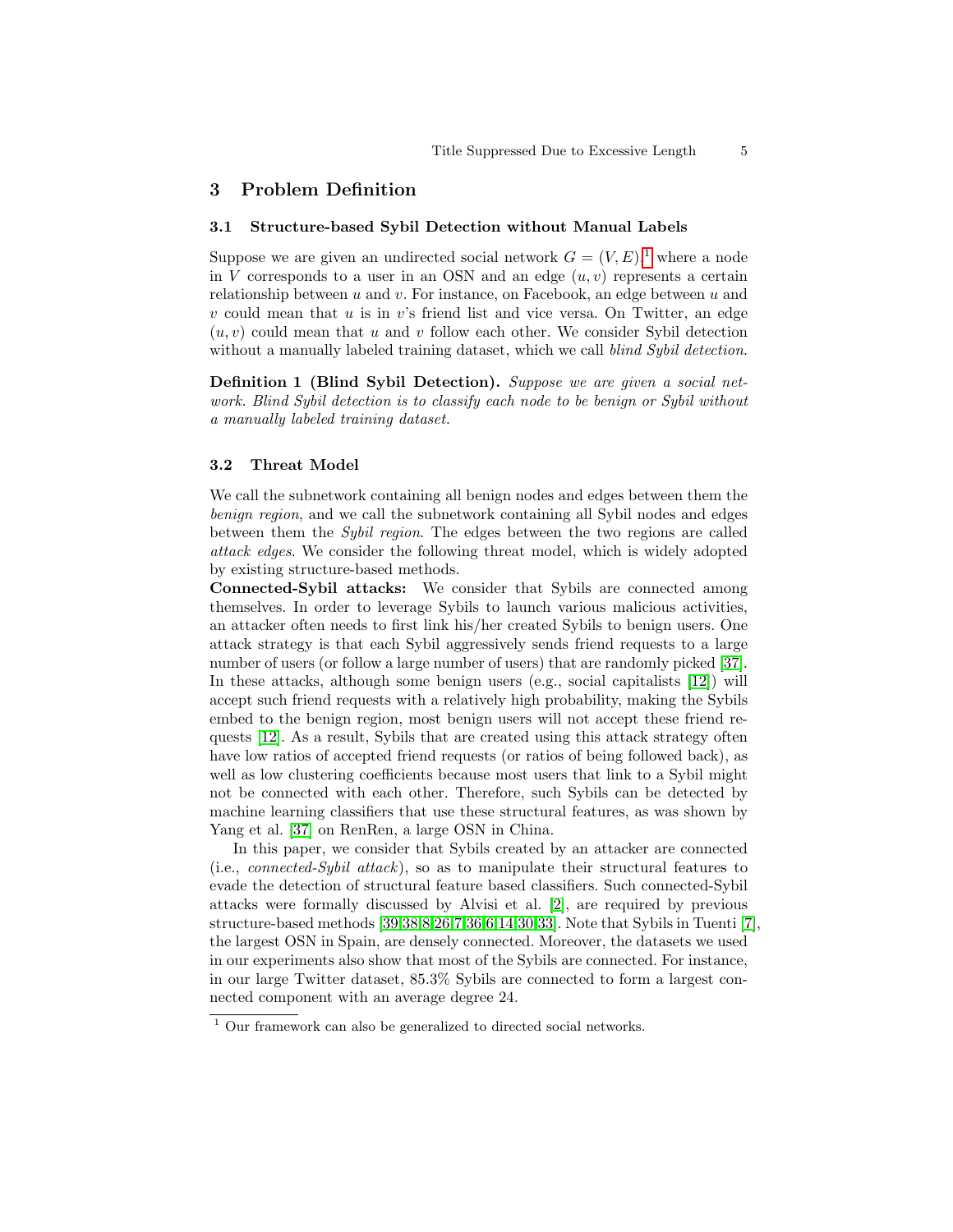# 3 Problem Definition

#### 3.1 Structure-based Sybil Detection without Manual Labels

Suppose we are given an undirected social network  $G = (V, E),$ <sup>[1](#page-4-1)</sup> where a node in V corresponds to a user in an OSN and an edge  $(u, v)$  represents a certain relationship between  $u$  and  $v$ . For instance, on Facebook, an edge between  $u$  and  $v$  could mean that  $u$  is in  $v$ 's friend list and vice versa. On Twitter, an edge  $(u, v)$  could mean that u and v follow each other. We consider Sybil detection without a manually labeled training dataset, which we call blind Sybil detection.

Definition 1 (Blind Sybil Detection). Suppose we are given a social network. Blind Sybil detection is to classify each node to be benign or Sybil without a manually labeled training dataset.

#### <span id="page-4-0"></span>3.2 Threat Model

We call the subnetwork containing all benign nodes and edges between them the benign region, and we call the subnetwork containing all Sybil nodes and edges between them the Sybil region. The edges between the two regions are called attack edges. We consider the following threat model, which is widely adopted by existing structure-based methods.

Connected-Sybil attacks: We consider that Sybils are connected among themselves. In order to leverage Sybils to launch various malicious activities, an attacker often needs to first link his/her created Sybils to benign users. One attack strategy is that each Sybil aggressively sends friend requests to a large number of users (or follow a large number of users) that are randomly picked [\[37\]](#page-18-2). In these attacks, although some benign users (e.g., social capitalists [\[12\]](#page-17-19)) will accept such friend requests with a relatively high probability, making the Sybils embed to the benign region, most benign users will not accept these friend requests [\[12\]](#page-17-19). As a result, Sybils that are created using this attack strategy often have low ratios of accepted friend requests (or ratios of being followed back), as well as low clustering coefficients because most users that link to a Sybil might not be connected with each other. Therefore, such Sybils can be detected by machine learning classifiers that use these structural features, as was shown by Yang et al. [\[37\]](#page-18-2) on RenRen, a large OSN in China.

In this paper, we consider that Sybils created by an attacker are connected (i.e., connected-Sybil attack), so as to manipulate their structural features to evade the detection of structural feature based classifiers. Such connected-Sybil attacks were formally discussed by Alvisi et al. [\[2\]](#page-16-1), are required by previous structure-based methods [\[39,](#page-18-0)[38,](#page-18-1)[8](#page-17-3)[,26,](#page-17-4)[7,](#page-17-5)[36,](#page-18-4)[6](#page-17-6)[,14,](#page-17-7)[30,](#page-18-5)[33\]](#page-18-3). Note that Sybils in Tuenti [\[7\]](#page-17-5), the largest OSN in Spain, are densely connected. Moreover, the datasets we used in our experiments also show that most of the Sybils are connected. For instance, in our large Twitter dataset, 85.3% Sybils are connected to form a largest connected component with an average degree 24.

<span id="page-4-1"></span> $^{\rm 1}$  Our framework can also be generalized to directed social networks.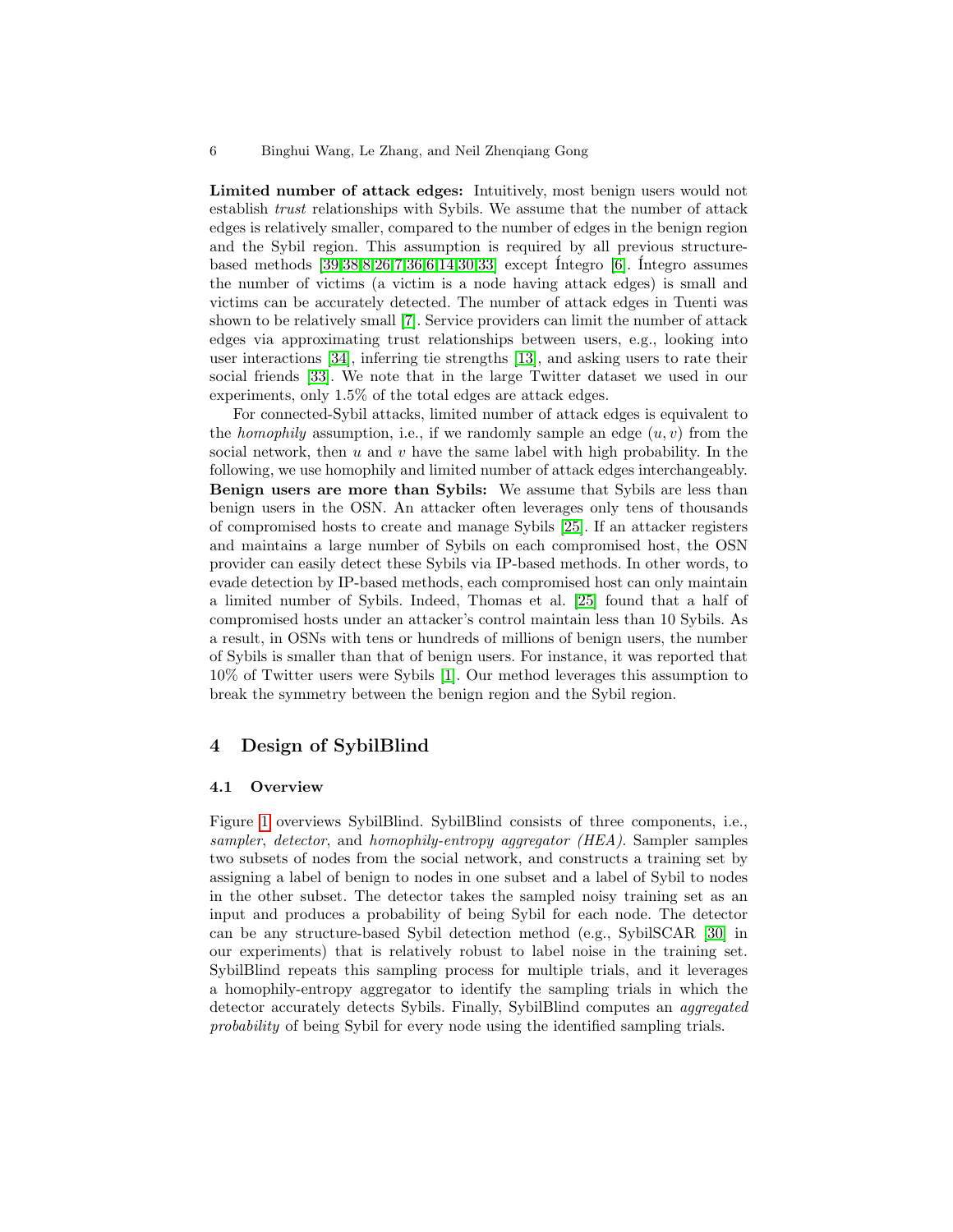Limited number of attack edges: Intuitively, most benign users would not establish trust relationships with Sybils. We assume that the number of attack edges is relatively smaller, compared to the number of edges in the benign region and the Sybil region. This assumption is required by all previous structurebased methods  $[39,38,8,26,7,36,6,14,30,33]$  $[39,38,8,26,7,36,6,14,30,33]$  $[39,38,8,26,7,36,6,14,30,33]$  $[39,38,8,26,7,36,6,14,30,33]$  $[39,38,8,26,7,36,6,14,30,33]$  $[39,38,8,26,7,36,6,14,30,33]$  $[39,38,8,26,7,36,6,14,30,33]$  $[39,38,8,26,7,36,6,14,30,33]$  $[39,38,8,26,7,36,6,14,30,33]$  $[39,38,8,26,7,36,6,14,30,33]$  except Integro  $[6]$ . Integro assumes the number of victims (a victim is a node having attack edges) is small and victims can be accurately detected. The number of attack edges in Tuenti was shown to be relatively small [\[7\]](#page-17-5). Service providers can limit the number of attack edges via approximating trust relationships between users, e.g., looking into user interactions [\[34\]](#page-18-9), inferring tie strengths [\[13\]](#page-17-20), and asking users to rate their social friends [\[33\]](#page-18-3). We note that in the large Twitter dataset we used in our experiments, only 1.5% of the total edges are attack edges.

For connected-Sybil attacks, limited number of attack edges is equivalent to the *homophily* assumption, i.e., if we randomly sample an edge  $(u, v)$  from the social network, then  $u$  and  $v$  have the same label with high probability. In the following, we use homophily and limited number of attack edges interchangeably. Benign users are more than Sybils: We assume that Sybils are less than benign users in the OSN. An attacker often leverages only tens of thousands of compromised hosts to create and manage Sybils [\[25\]](#page-17-21). If an attacker registers and maintains a large number of Sybils on each compromised host, the OSN provider can easily detect these Sybils via IP-based methods. In other words, to evade detection by IP-based methods, each compromised host can only maintain a limited number of Sybils. Indeed, Thomas et al. [\[25\]](#page-17-21) found that a half of compromised hosts under an attacker's control maintain less than 10 Sybils. As a result, in OSNs with tens or hundreds of millions of benign users, the number of Sybils is smaller than that of benign users. For instance, it was reported that 10% of Twitter users were Sybils [\[1\]](#page-16-0). Our method leverages this assumption to break the symmetry between the benign region and the Sybil region.

# 4 Design of SybilBlind

## 4.1 Overview

Figure [1](#page-6-0) overviews SybilBlind. SybilBlind consists of three components, i.e., sampler, detector, and homophily-entropy aggregator (HEA). Sampler samples two subsets of nodes from the social network, and constructs a training set by assigning a label of benign to nodes in one subset and a label of Sybil to nodes in the other subset. The detector takes the sampled noisy training set as an input and produces a probability of being Sybil for each node. The detector can be any structure-based Sybil detection method (e.g., SybilSCAR [\[30\]](#page-18-5) in our experiments) that is relatively robust to label noise in the training set. SybilBlind repeats this sampling process for multiple trials, and it leverages a homophily-entropy aggregator to identify the sampling trials in which the detector accurately detects Sybils. Finally, SybilBlind computes an aggregated probability of being Sybil for every node using the identified sampling trials.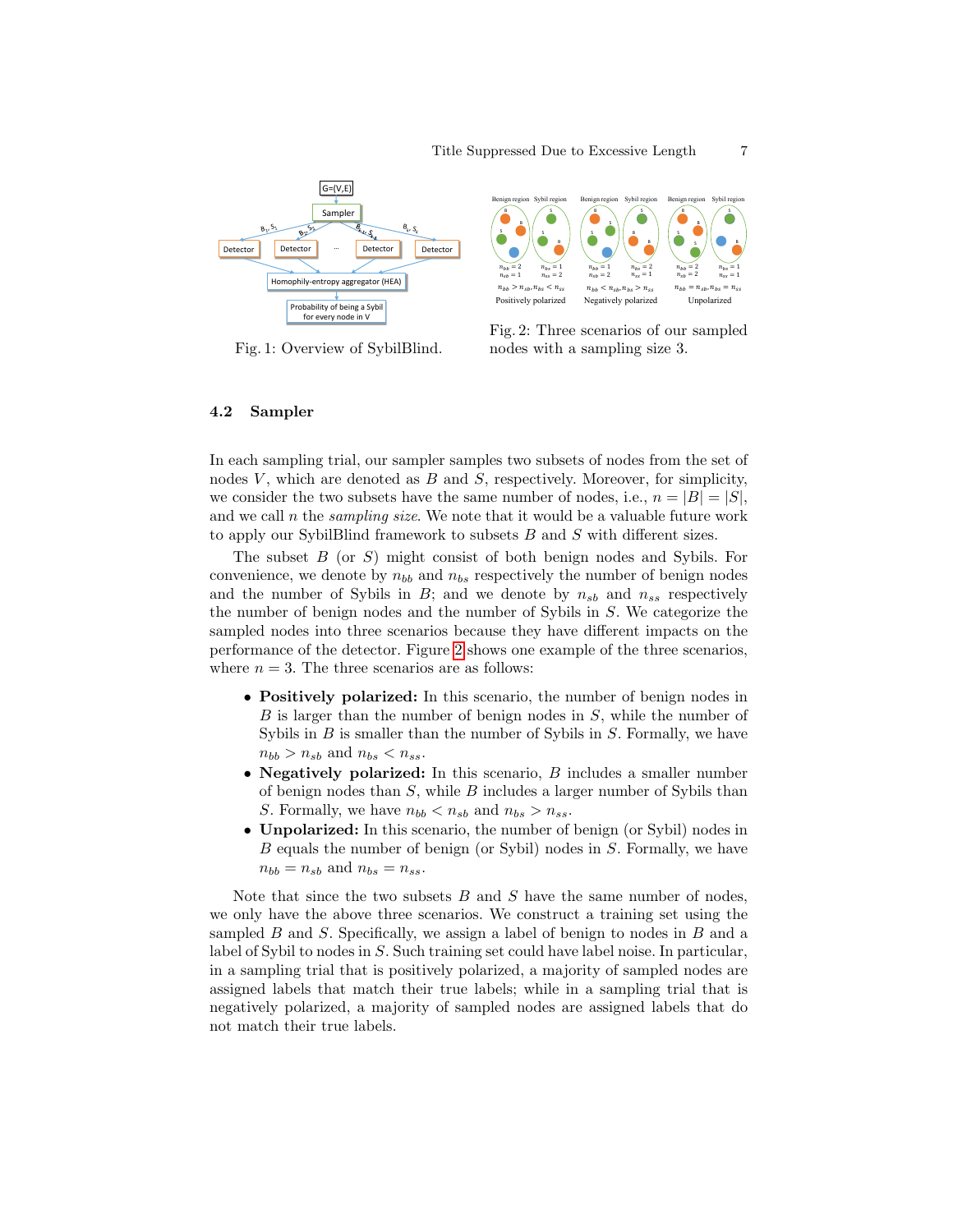<span id="page-6-0"></span>

Fig. 1: Overview of SybilBlind.

Fig. 2: Three scenarios of our sampled nodes with a sampling size 3.

## 4.2 Sampler

In each sampling trial, our sampler samples two subsets of nodes from the set of nodes  $V$ , which are denoted as  $B$  and  $S$ , respectively. Moreover, for simplicity, we consider the two subsets have the same number of nodes, i.e.,  $n = |B| = |S|$ , and we call n the *sampling size*. We note that it would be a valuable future work to apply our SybilBlind framework to subsets B and S with different sizes.

The subset B (or S) might consist of both benign nodes and Sybils. For convenience, we denote by  $n_{bb}$  and  $n_{bs}$  respectively the number of benign nodes and the number of Sybils in B; and we denote by  $n_{sb}$  and  $n_{ss}$  respectively the number of benign nodes and the number of Sybils in S. We categorize the sampled nodes into three scenarios because they have different impacts on the performance of the detector. Figure [2](#page-6-0) shows one example of the three scenarios, where  $n = 3$ . The three scenarios are as follows:

- **Positively polarized:** In this scenario, the number of benign nodes in  $B$  is larger than the number of benign nodes in  $S$ , while the number of Sybils in  $B$  is smaller than the number of Sybils in  $S$ . Formally, we have  $n_{bb} > n_{sb}$  and  $n_{bs} < n_{ss}$ .
- Negatively polarized: In this scenario,  $B$  includes a smaller number of benign nodes than  $S$ , while  $B$  includes a larger number of Sybils than S. Formally, we have  $n_{bb} < n_{sb}$  and  $n_{bs} > n_{ss}$ .
- Unpolarized: In this scenario, the number of benign (or Sybil) nodes in  $B$  equals the number of benign (or Sybil) nodes in  $S$ . Formally, we have  $n_{bb} = n_{sb}$  and  $n_{bs} = n_{ss}$ .

Note that since the two subsets  $B$  and  $S$  have the same number of nodes, we only have the above three scenarios. We construct a training set using the sampled  $B$  and  $S$ . Specifically, we assign a label of benign to nodes in  $B$  and a label of Sybil to nodes in S. Such training set could have label noise. In particular, in a sampling trial that is positively polarized, a majority of sampled nodes are assigned labels that match their true labels; while in a sampling trial that is negatively polarized, a majority of sampled nodes are assigned labels that do not match their true labels.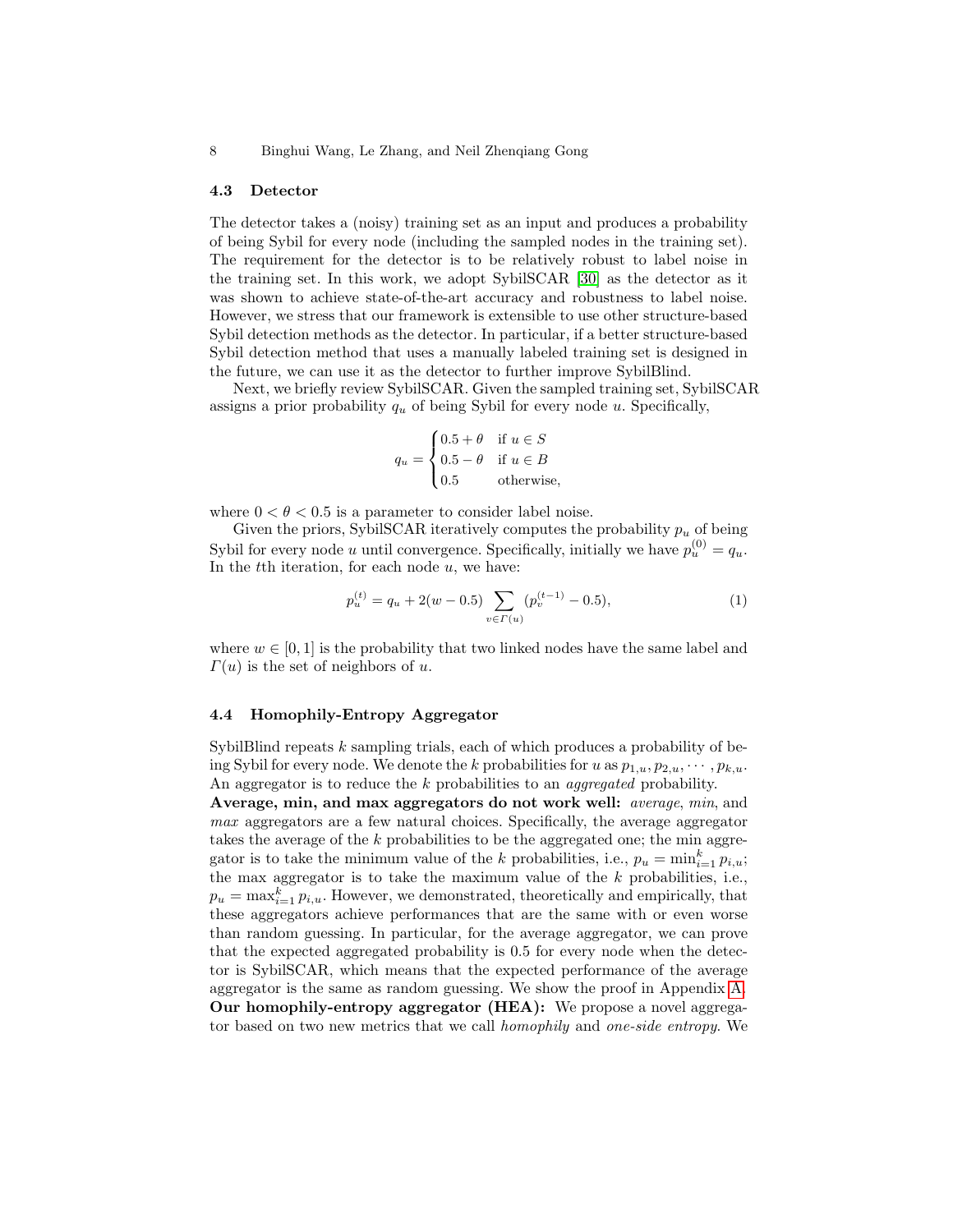#### 4.3 Detector

The detector takes a (noisy) training set as an input and produces a probability of being Sybil for every node (including the sampled nodes in the training set). The requirement for the detector is to be relatively robust to label noise in the training set. In this work, we adopt SybilSCAR [\[30\]](#page-18-5) as the detector as it was shown to achieve state-of-the-art accuracy and robustness to label noise. However, we stress that our framework is extensible to use other structure-based Sybil detection methods as the detector. In particular, if a better structure-based Sybil detection method that uses a manually labeled training set is designed in the future, we can use it as the detector to further improve SybilBlind.

Next, we briefly review SybilSCAR. Given the sampled training set, SybilSCAR assigns a prior probability  $q_u$  of being Sybil for every node u. Specifically,

$$
q_u = \begin{cases} 0.5 + \theta & \text{if } u \in S \\ 0.5 - \theta & \text{if } u \in B \\ 0.5 & \text{otherwise,} \end{cases}
$$

where  $0 < \theta < 0.5$  is a parameter to consider label noise.

Given the priors, SybilSCAR iteratively computes the probability  $p_u$  of being Sybil for every node u until convergence. Specifically, initially we have  $p_u^{(0)} = q_u$ . In the t<sup>th</sup> iteration, for each node  $u$ , we have:

$$
p_u^{(t)} = q_u + 2(w - 0.5) \sum_{v \in \Gamma(u)} (p_v^{(t-1)} - 0.5), \tag{1}
$$

where  $w \in [0, 1]$  is the probability that two linked nodes have the same label and  $\Gamma(u)$  is the set of neighbors of u.

#### 4.4 Homophily-Entropy Aggregator

SybilBlind repeats k sampling trials, each of which produces a probability of being Sybil for every node. We denote the k probabilities for u as  $p_{1,u}, p_{2,u}, \cdots, p_{k,u}$ . An aggregator is to reduce the k probabilities to an *aggregated* probability.

Average, min, and max aggregators do not work well: average, min, and max aggregators are a few natural choices. Specifically, the average aggregator takes the average of the k probabilities to be the aggregated one; the min aggregator is to take the minimum value of the k probabilities, i.e.,  $p_u = \min_{i=1}^k p_{i,u}$ ; the max aggregator is to take the maximum value of the  $k$  probabilities, i.e.,  $p_u = \max_{i=1}^k p_{i,u}$ . However, we demonstrated, theoretically and empirically, that these aggregators achieve performances that are the same with or even worse than random guessing. In particular, for the average aggregator, we can prove that the expected aggregated probability is 0.5 for every node when the detector is SybilSCAR, which means that the expected performance of the average aggregator is the same as random guessing. We show the proof in Appendix [A.](#page-18-10) Our homophily-entropy aggregator (HEA): We propose a novel aggregator based on two new metrics that we call homophily and one-side entropy. We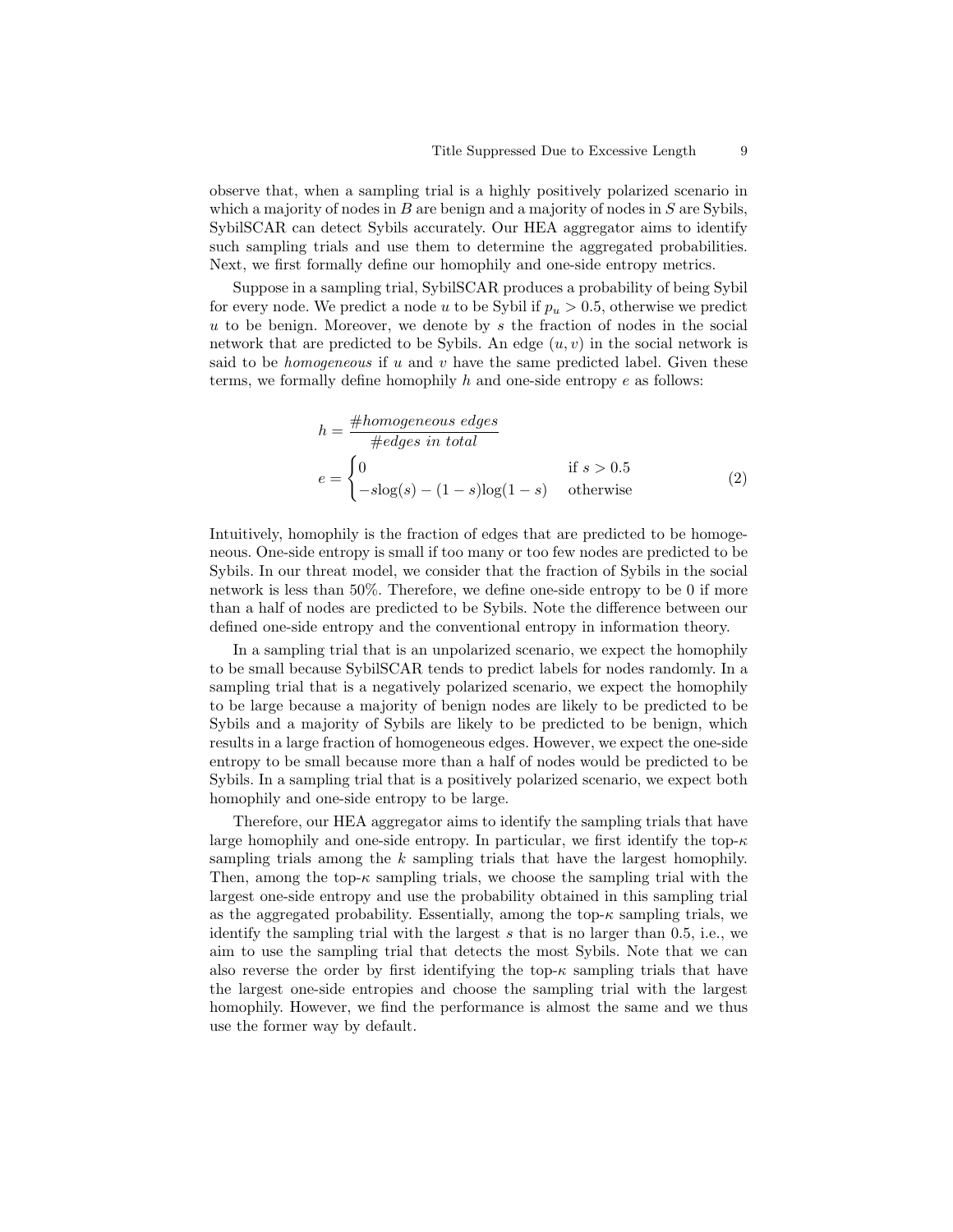observe that, when a sampling trial is a highly positively polarized scenario in which a majority of nodes in  $B$  are benign and a majority of nodes in  $S$  are Sybils, SybilSCAR can detect Sybils accurately. Our HEA aggregator aims to identify such sampling trials and use them to determine the aggregated probabilities. Next, we first formally define our homophily and one-side entropy metrics.

Suppose in a sampling trial, SybilSCAR produces a probability of being Sybil for every node. We predict a node u to be Sybil if  $p_u > 0.5$ , otherwise we predict  $u$  to be benign. Moreover, we denote by  $s$  the fraction of nodes in the social network that are predicted to be Sybils. An edge  $(u, v)$  in the social network is said to be *homogeneous* if  $u$  and  $v$  have the same predicted label. Given these terms, we formally define homophily  $h$  and one-side entropy  $e$  as follows:

$$
h = \frac{\#homogeneous \ edges}{\#edges \ in \ total}
$$
  

$$
e = \begin{cases} 0 & \text{if } s > 0.5\\ -s\log(s) - (1-s)\log(1-s) & \text{otherwise} \end{cases}
$$
 (2)

Intuitively, homophily is the fraction of edges that are predicted to be homogeneous. One-side entropy is small if too many or too few nodes are predicted to be Sybils. In our threat model, we consider that the fraction of Sybils in the social network is less than 50%. Therefore, we define one-side entropy to be 0 if more than a half of nodes are predicted to be Sybils. Note the difference between our defined one-side entropy and the conventional entropy in information theory.

In a sampling trial that is an unpolarized scenario, we expect the homophily to be small because SybilSCAR tends to predict labels for nodes randomly. In a sampling trial that is a negatively polarized scenario, we expect the homophily to be large because a majority of benign nodes are likely to be predicted to be Sybils and a majority of Sybils are likely to be predicted to be benign, which results in a large fraction of homogeneous edges. However, we expect the one-side entropy to be small because more than a half of nodes would be predicted to be Sybils. In a sampling trial that is a positively polarized scenario, we expect both homophily and one-side entropy to be large.

Therefore, our HEA aggregator aims to identify the sampling trials that have large homophily and one-side entropy. In particular, we first identify the top- $\kappa$ sampling trials among the k sampling trials that have the largest homophily. Then, among the top- $\kappa$  sampling trials, we choose the sampling trial with the largest one-side entropy and use the probability obtained in this sampling trial as the aggregated probability. Essentially, among the top- $\kappa$  sampling trials, we identify the sampling trial with the largest s that is no larger than 0.5, i.e., we aim to use the sampling trial that detects the most Sybils. Note that we can also reverse the order by first identifying the top- $\kappa$  sampling trials that have the largest one-side entropies and choose the sampling trial with the largest homophily. However, we find the performance is almost the same and we thus use the former way by default.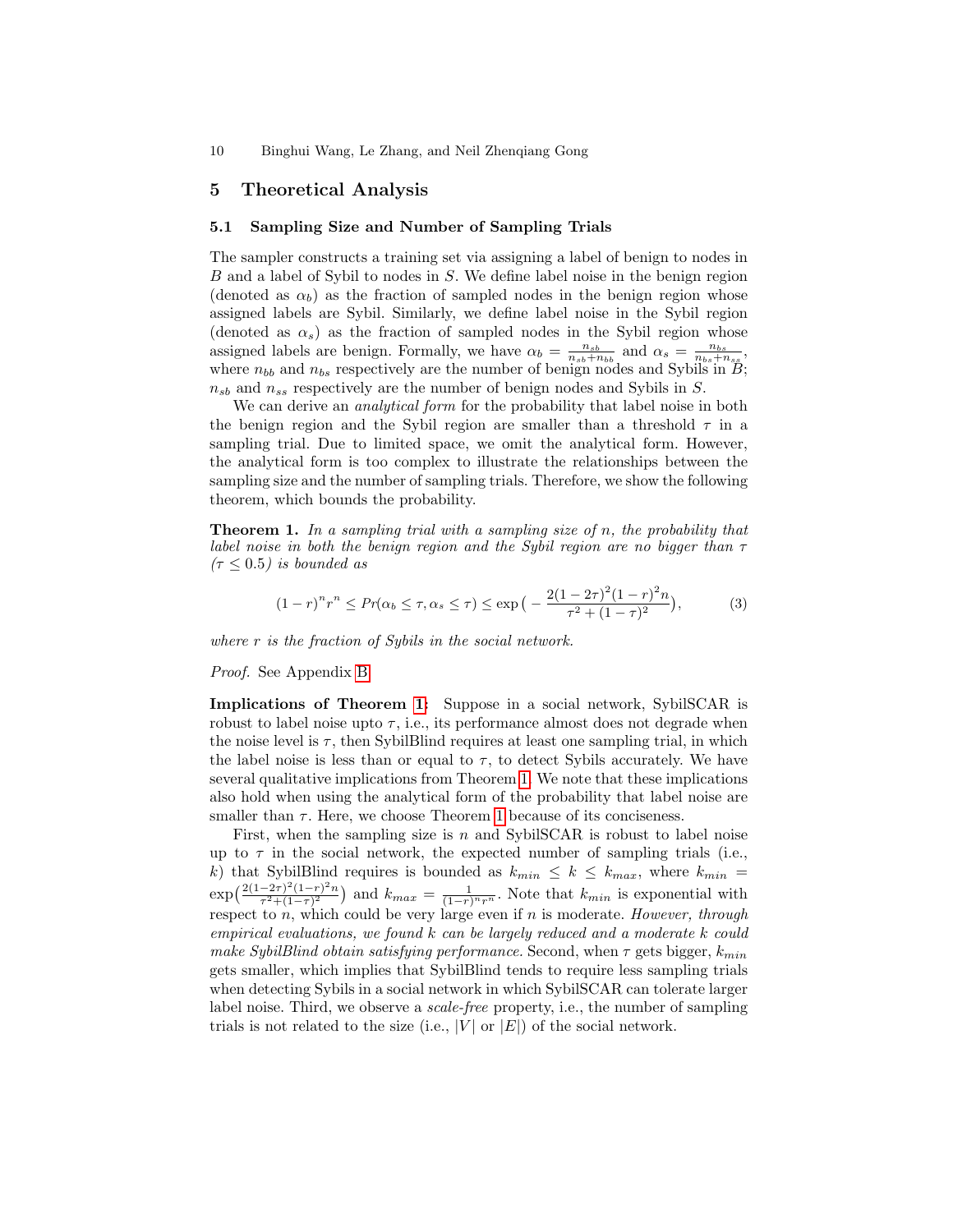# 5 Theoretical Analysis

### 5.1 Sampling Size and Number of Sampling Trials

The sampler constructs a training set via assigning a label of benign to nodes in B and a label of Sybil to nodes in S. We define label noise in the benign region (denoted as  $\alpha_b$ ) as the fraction of sampled nodes in the benign region whose assigned labels are Sybil. Similarly, we define label noise in the Sybil region (denoted as  $\alpha_s$ ) as the fraction of sampled nodes in the Sybil region whose assigned labels are benign. Formally, we have  $\alpha_b = \frac{n_{sb}}{n_{sb}+n_{bb}}$  and  $\alpha_s = \frac{n_{bs}}{n_{bs}+n_{ss}}$ , where  $n_{bb}$  and  $n_{bs}$  respectively are the number of benign nodes and Sybils in  $\ddot{B}$ ;  $n_{sb}$  and  $n_{ss}$  respectively are the number of benign nodes and Sybils in S.

We can derive an analytical form for the probability that label noise in both the benign region and the Sybil region are smaller than a threshold  $\tau$  in a sampling trial. Due to limited space, we omit the analytical form. However, the analytical form is too complex to illustrate the relationships between the sampling size and the number of sampling trials. Therefore, we show the following theorem, which bounds the probability.

<span id="page-9-0"></span>Theorem 1. In a sampling trial with a sampling size of n, the probability that label noise in both the benign region and the Sybil region are no bigger than  $\tau$  $(\tau \leq 0.5)$  is bounded as

<span id="page-9-1"></span>
$$
(1-r)^n r^n \le \Pr(\alpha_b \le \tau, \alpha_s \le \tau) \le \exp\left(-\frac{2(1-2\tau)^2 (1-r)^2 n}{\tau^2 + (1-\tau)^2}\right),\tag{3}
$$

where r is the fraction of Sybils in the social network.

Proof. See Appendix [B.](#page-19-0)

Implications of Theorem [1:](#page-9-0) Suppose in a social network, SybilSCAR is robust to label noise upto  $\tau$ , i.e., its performance almost does not degrade when the noise level is  $\tau$ , then SybilBlind requires at least one sampling trial, in which the label noise is less than or equal to  $\tau$ , to detect Sybils accurately. We have several qualitative implications from Theorem [1.](#page-9-0) We note that these implications also hold when using the analytical form of the probability that label noise are smaller than  $\tau$ . Here, we choose Theorem [1](#page-9-0) because of its conciseness.

First, when the sampling size is  $n$  and SybilSCAR is robust to label noise up to  $\tau$  in the social network, the expected number of sampling trials (i.e., k) that SybilBlind requires is bounded as  $k_{min} \le k \le k_{max}$ , where  $k_{min} =$  $\exp\left(\frac{2(1-2\tau)^2(1-r)^2n}{\tau^2+(1-\tau)^2}\right)$  $\frac{(-2\tau)^2(1-r)^2n}{\tau^2+(1-\tau)^2}$  and  $k_{max} = \frac{1}{(1-r)^n r^n}$ . Note that  $k_{min}$  is exponential with respect to n, which could be very large even if n is moderate. However, through empirical evaluations, we found k can be largely reduced and a moderate k could make SybilBlind obtain satisfying performance. Second, when  $\tau$  gets bigger,  $k_{min}$ gets smaller, which implies that SybilBlind tends to require less sampling trials when detecting Sybils in a social network in which SybilSCAR can tolerate larger label noise. Third, we observe a scale-free property, i.e., the number of sampling trials is not related to the size (i.e.,  $|V|$  or  $|E|$ ) of the social network.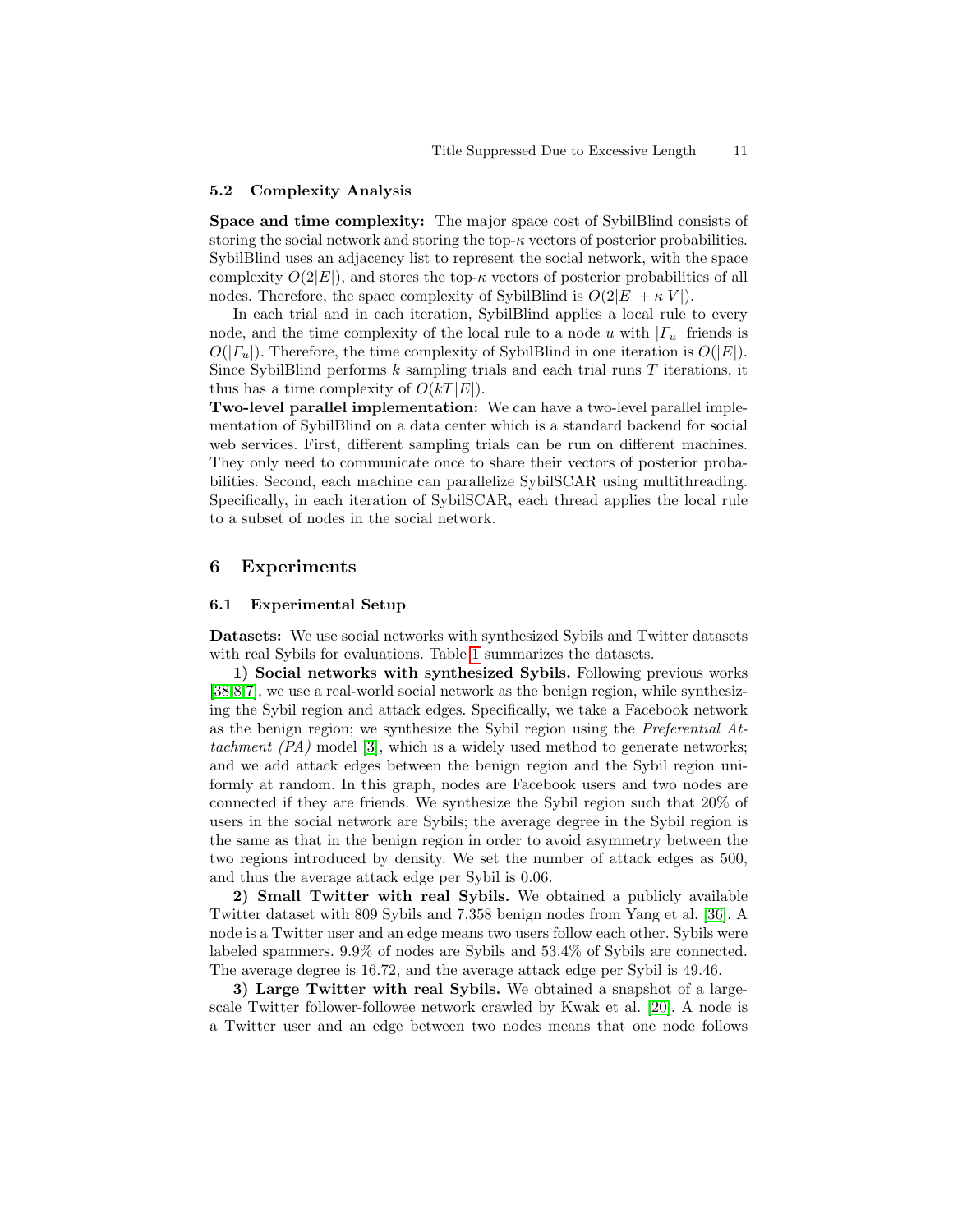#### 5.2 Complexity Analysis

Space and time complexity: The major space cost of SybilBlind consists of storing the social network and storing the top- $\kappa$  vectors of posterior probabilities. SybilBlind uses an adjacency list to represent the social network, with the space complexity  $O(2|E|)$ , and stores the top- $\kappa$  vectors of posterior probabilities of all nodes. Therefore, the space complexity of SybilBlind is  $O(2|E| + \kappa|V|)$ .

In each trial and in each iteration, SybilBlind applies a local rule to every node, and the time complexity of the local rule to a node u with  $|I_u|$  friends is  $O(|\Gamma_u|)$ . Therefore, the time complexity of SybilBlind in one iteration is  $O(|E|)$ . Since SybilBlind performs  $k$  sampling trials and each trial runs  $T$  iterations, it thus has a time complexity of  $O(kT|E|)$ .

Two-level parallel implementation: We can have a two-level parallel implementation of SybilBlind on a data center which is a standard backend for social web services. First, different sampling trials can be run on different machines. They only need to communicate once to share their vectors of posterior probabilities. Second, each machine can parallelize SybilSCAR using multithreading. Specifically, in each iteration of SybilSCAR, each thread applies the local rule to a subset of nodes in the social network.

# 6 Experiments

### 6.1 Experimental Setup

Datasets: We use social networks with synthesized Sybils and Twitter datasets with real Sybils for evaluations. Table [1](#page-11-0) summarizes the datasets.

1) Social networks with synthesized Sybils. Following previous works [\[38](#page-18-1)[,8](#page-17-3)[,7\]](#page-17-5), we use a real-world social network as the benign region, while synthesizing the Sybil region and attack edges. Specifically, we take a Facebook network as the benign region; we synthesize the Sybil region using the Preferential Attachment  $(PA)$  model [\[3\]](#page-16-3), which is a widely used method to generate networks; and we add attack edges between the benign region and the Sybil region uniformly at random. In this graph, nodes are Facebook users and two nodes are connected if they are friends. We synthesize the Sybil region such that 20% of users in the social network are Sybils; the average degree in the Sybil region is the same as that in the benign region in order to avoid asymmetry between the two regions introduced by density. We set the number of attack edges as 500, and thus the average attack edge per Sybil is 0.06.

2) Small Twitter with real Sybils. We obtained a publicly available Twitter dataset with 809 Sybils and 7,358 benign nodes from Yang et al. [\[36\]](#page-18-4). A node is a Twitter user and an edge means two users follow each other. Sybils were labeled spammers. 9.9% of nodes are Sybils and 53.4% of Sybils are connected. The average degree is 16.72, and the average attack edge per Sybil is 49.46.

3) Large Twitter with real Sybils. We obtained a snapshot of a largescale Twitter follower-followee network crawled by Kwak et al. [\[20\]](#page-17-22). A node is a Twitter user and an edge between two nodes means that one node follows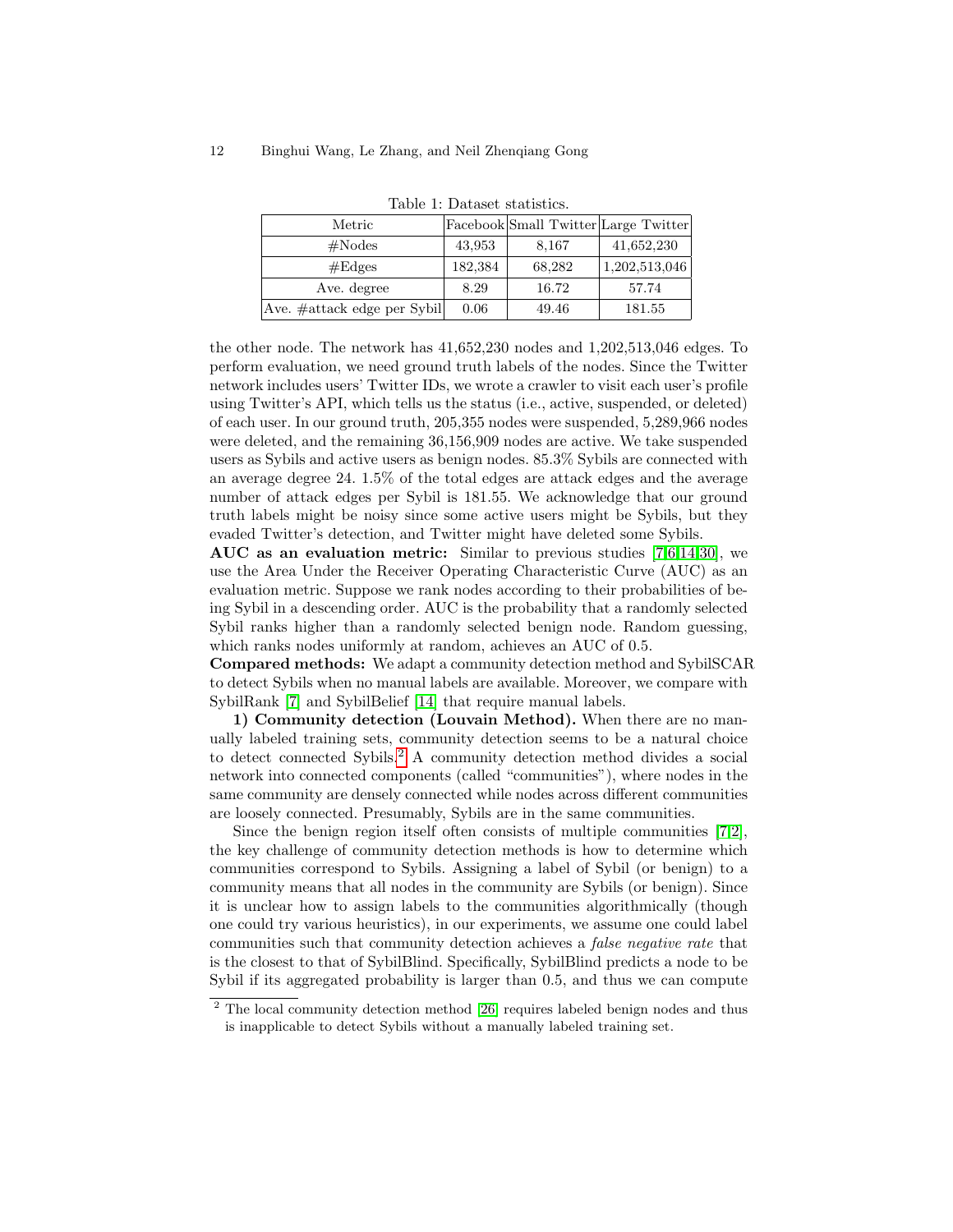<span id="page-11-0"></span>

| Metric                      |         |        | Facebook Small Twitter Large Twitter |
|-----------------------------|---------|--------|--------------------------------------|
| #Nodes                      | 43,953  | 8,167  | 41,652,230                           |
| #Edges                      | 182,384 | 68,282 | 1,202,513,046                        |
| Ave. degree                 | 8.29    | 16.72  | 57.74                                |
| Ave. #attack edge per Sybil | 0.06    | 49.46  | 181.55                               |

Table 1: Dataset statistics.

the other node. The network has 41,652,230 nodes and 1,202,513,046 edges. To perform evaluation, we need ground truth labels of the nodes. Since the Twitter network includes users' Twitter IDs, we wrote a crawler to visit each user's profile using Twitter's API, which tells us the status (i.e., active, suspended, or deleted) of each user. In our ground truth, 205,355 nodes were suspended, 5,289,966 nodes were deleted, and the remaining 36,156,909 nodes are active. We take suspended users as Sybils and active users as benign nodes. 85.3% Sybils are connected with an average degree 24. 1.5% of the total edges are attack edges and the average number of attack edges per Sybil is 181.55. We acknowledge that our ground truth labels might be noisy since some active users might be Sybils, but they evaded Twitter's detection, and Twitter might have deleted some Sybils.

AUC as an evaluation metric: Similar to previous studies [\[7](#page-17-5)[,6,](#page-17-6)[14,](#page-17-7)[30\]](#page-18-5), we use the Area Under the Receiver Operating Characteristic Curve (AUC) as an evaluation metric. Suppose we rank nodes according to their probabilities of being Sybil in a descending order. AUC is the probability that a randomly selected Sybil ranks higher than a randomly selected benign node. Random guessing, which ranks nodes uniformly at random, achieves an AUC of 0.5.

Compared methods: We adapt a community detection method and SybilSCAR to detect Sybils when no manual labels are available. Moreover, we compare with SybilRank [\[7\]](#page-17-5) and SybilBelief [\[14\]](#page-17-7) that require manual labels.

1) Community detection (Louvain Method). When there are no manually labeled training sets, community detection seems to be a natural choice to detect connected Sybils.[2](#page-11-1) A community detection method divides a social network into connected components (called "communities"), where nodes in the same community are densely connected while nodes across different communities are loosely connected. Presumably, Sybils are in the same communities.

Since the benign region itself often consists of multiple communities [\[7,](#page-17-5)[2\]](#page-16-1), the key challenge of community detection methods is how to determine which communities correspond to Sybils. Assigning a label of Sybil (or benign) to a community means that all nodes in the community are Sybils (or benign). Since it is unclear how to assign labels to the communities algorithmically (though one could try various heuristics), in our experiments, we assume one could label communities such that community detection achieves a false negative rate that is the closest to that of SybilBlind. Specifically, SybilBlind predicts a node to be Sybil if its aggregated probability is larger than 0.5, and thus we can compute

<span id="page-11-1"></span> $2$  The local community detection method [\[26\]](#page-17-4) requires labeled benign nodes and thus is inapplicable to detect Sybils without a manually labeled training set.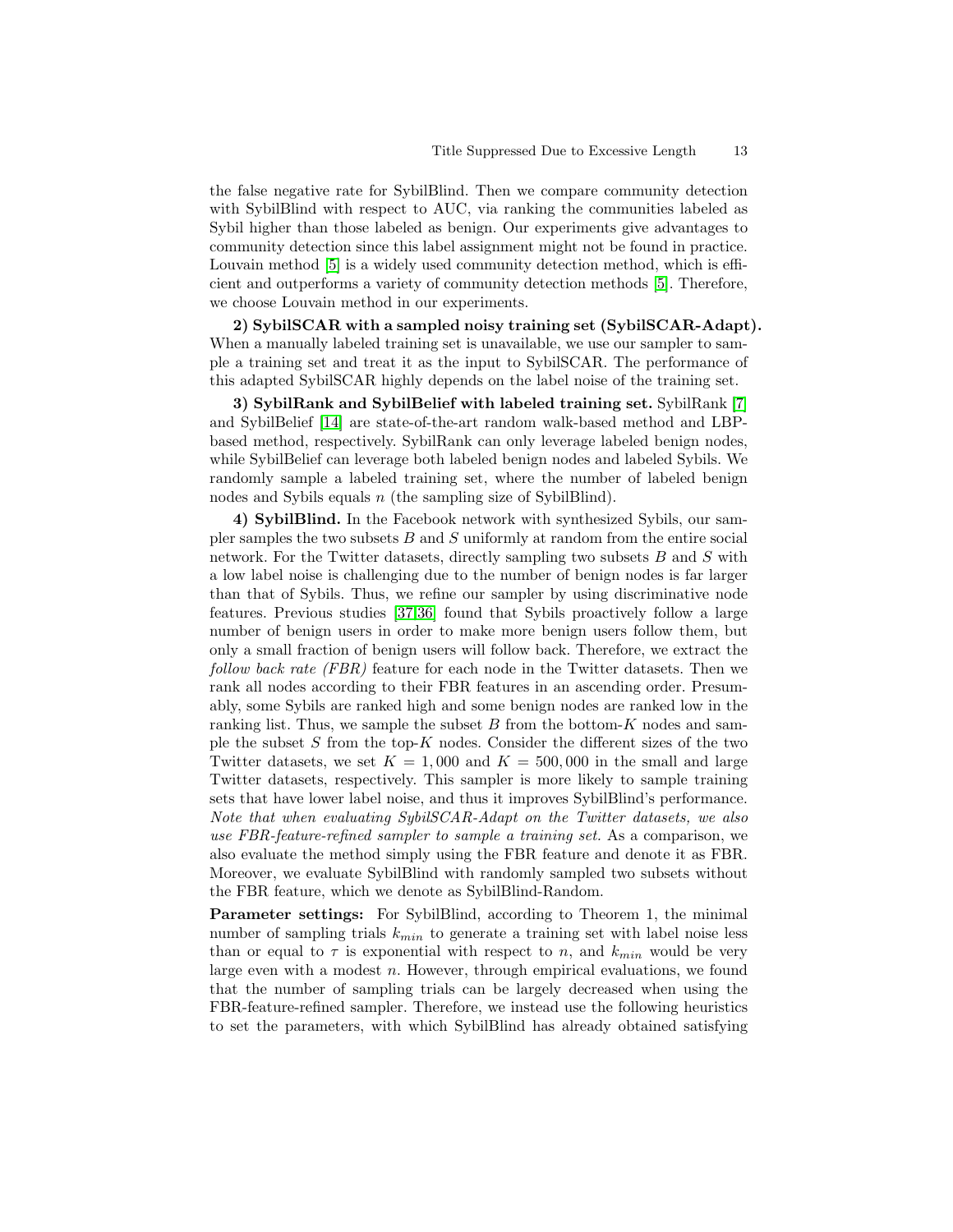the false negative rate for SybilBlind. Then we compare community detection with SybilBlind with respect to AUC, via ranking the communities labeled as Sybil higher than those labeled as benign. Our experiments give advantages to community detection since this label assignment might not be found in practice. Louvain method [\[5\]](#page-16-4) is a widely used community detection method, which is efficient and outperforms a variety of community detection methods [\[5\]](#page-16-4). Therefore, we choose Louvain method in our experiments.

2) SybilSCAR with a sampled noisy training set (SybilSCAR-Adapt). When a manually labeled training set is unavailable, we use our sampler to sample a training set and treat it as the input to SybilSCAR. The performance of this adapted SybilSCAR highly depends on the label noise of the training set.

3) SybilRank and SybilBelief with labeled training set. SybilRank [\[7\]](#page-17-5) and SybilBelief [\[14\]](#page-17-7) are state-of-the-art random walk-based method and LBPbased method, respectively. SybilRank can only leverage labeled benign nodes, while SybilBelief can leverage both labeled benign nodes and labeled Sybils. We randomly sample a labeled training set, where the number of labeled benign nodes and Sybils equals n (the sampling size of SybilBlind).

4) SybilBlind. In the Facebook network with synthesized Sybils, our sampler samples the two subsets  $B$  and  $S$  uniformly at random from the entire social network. For the Twitter datasets, directly sampling two subsets B and S with a low label noise is challenging due to the number of benign nodes is far larger than that of Sybils. Thus, we refine our sampler by using discriminative node features. Previous studies [\[37](#page-18-2)[,36\]](#page-18-4) found that Sybils proactively follow a large number of benign users in order to make more benign users follow them, but only a small fraction of benign users will follow back. Therefore, we extract the follow back rate (FBR) feature for each node in the Twitter datasets. Then we rank all nodes according to their FBR features in an ascending order. Presumably, some Sybils are ranked high and some benign nodes are ranked low in the ranking list. Thus, we sample the subset  $B$  from the bottom- $K$  nodes and sample the subset  $S$  from the top- $K$  nodes. Consider the different sizes of the two Twitter datasets, we set  $K = 1,000$  and  $K = 500,000$  in the small and large Twitter datasets, respectively. This sampler is more likely to sample training sets that have lower label noise, and thus it improves SybilBlind's performance. Note that when evaluating SybilSCAR-Adapt on the Twitter datasets, we also use FBR-feature-refined sampler to sample a training set. As a comparison, we also evaluate the method simply using the FBR feature and denote it as FBR. Moreover, we evaluate SybilBlind with randomly sampled two subsets without the FBR feature, which we denote as SybilBlind-Random.

Parameter settings: For SybilBlind, according to Theorem 1, the minimal number of sampling trials  $k_{min}$  to generate a training set with label noise less than or equal to  $\tau$  is exponential with respect to n, and  $k_{min}$  would be very large even with a modest  $n$ . However, through empirical evaluations, we found that the number of sampling trials can be largely decreased when using the FBR-feature-refined sampler. Therefore, we instead use the following heuristics to set the parameters, with which SybilBlind has already obtained satisfying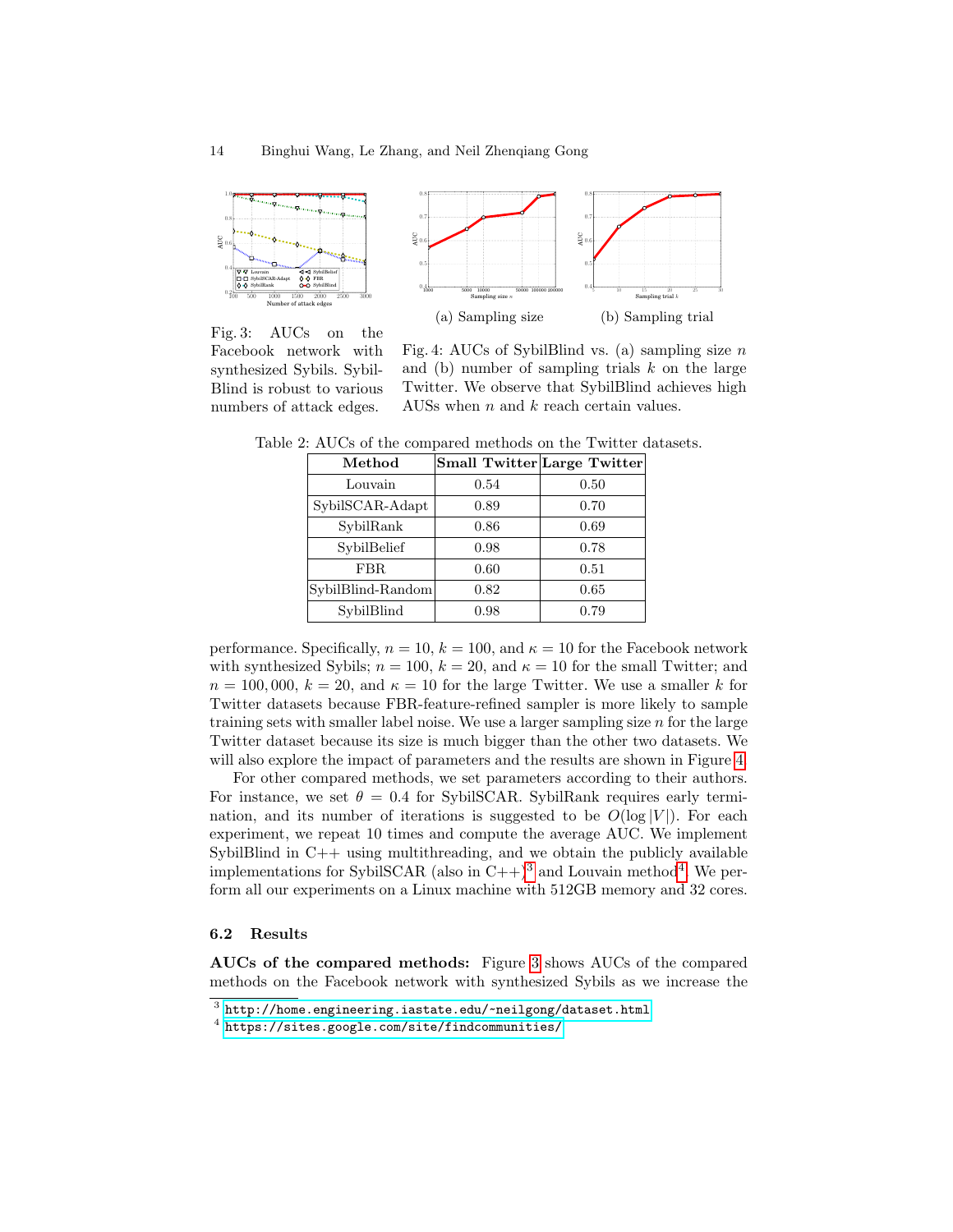<span id="page-13-0"></span>

Fig. 3: AUCs on the Facebook network with synthesized Sybils. Sybil-Blind is robust to various numbers of attack edges.

<span id="page-13-5"></span><span id="page-13-4"></span>Fig. 4: AUCs of SybilBlind vs. (a) sampling size  $n$ and (b) number of sampling trials  $k$  on the large Twitter. We observe that SybilBlind achieves high AUSs when n and k reach certain values.

Method Small Twitter Large Twitter Louvain 0.54 0.50  $SybiISCAR-Adapt$  0.89 0.70 SybilRank 0.86 0.69 SybilBelief 0.98 0.78 FBR 0.60 0.51  $SybiBlind-Random$  0.82 0.65 SybilBlind  $0.98$  0.79

<span id="page-13-3"></span>Table 2: AUCs of the compared methods on the Twitter datasets.

performance. Specifically,  $n = 10$ ,  $k = 100$ , and  $\kappa = 10$  for the Facebook network with synthesized Sybils;  $n = 100$ ,  $k = 20$ , and  $\kappa = 10$  for the small Twitter; and  $n = 100,000, k = 20$ , and  $\kappa = 10$  for the large Twitter. We use a smaller k for Twitter datasets because FBR-feature-refined sampler is more likely to sample training sets with smaller label noise. We use a larger sampling size  $n$  for the large Twitter dataset because its size is much bigger than the other two datasets. We will also explore the impact of parameters and the results are shown in Figure [4.](#page-13-0)

For other compared methods, we set parameters according to their authors. For instance, we set  $\theta = 0.4$  for SybilSCAR. SybilRank requires early termination, and its number of iterations is suggested to be  $O(\log |V|)$ . For each experiment, we repeat 10 times and compute the average AUC. We implement SybilBlind in  $C++$  using multithreading, and we obtain the publicly available implementations for SybilSCAR (also in  $C++$ )<sup>[3](#page-13-1)</sup> and Louvain method<sup>[4](#page-13-2)</sup>. We perform all our experiments on a Linux machine with 512GB memory and 32 cores.

# 6.2 Results

AUCs of the compared methods: Figure [3](#page-13-0) shows AUCs of the compared methods on the Facebook network with synthesized Sybils as we increase the

<span id="page-13-1"></span> $\frac{3}{2}$  <http://home.engineering.iastate.edu/~neilgong/dataset.html>

<span id="page-13-2"></span><sup>4</sup> <https://sites.google.com/site/findcommunities/>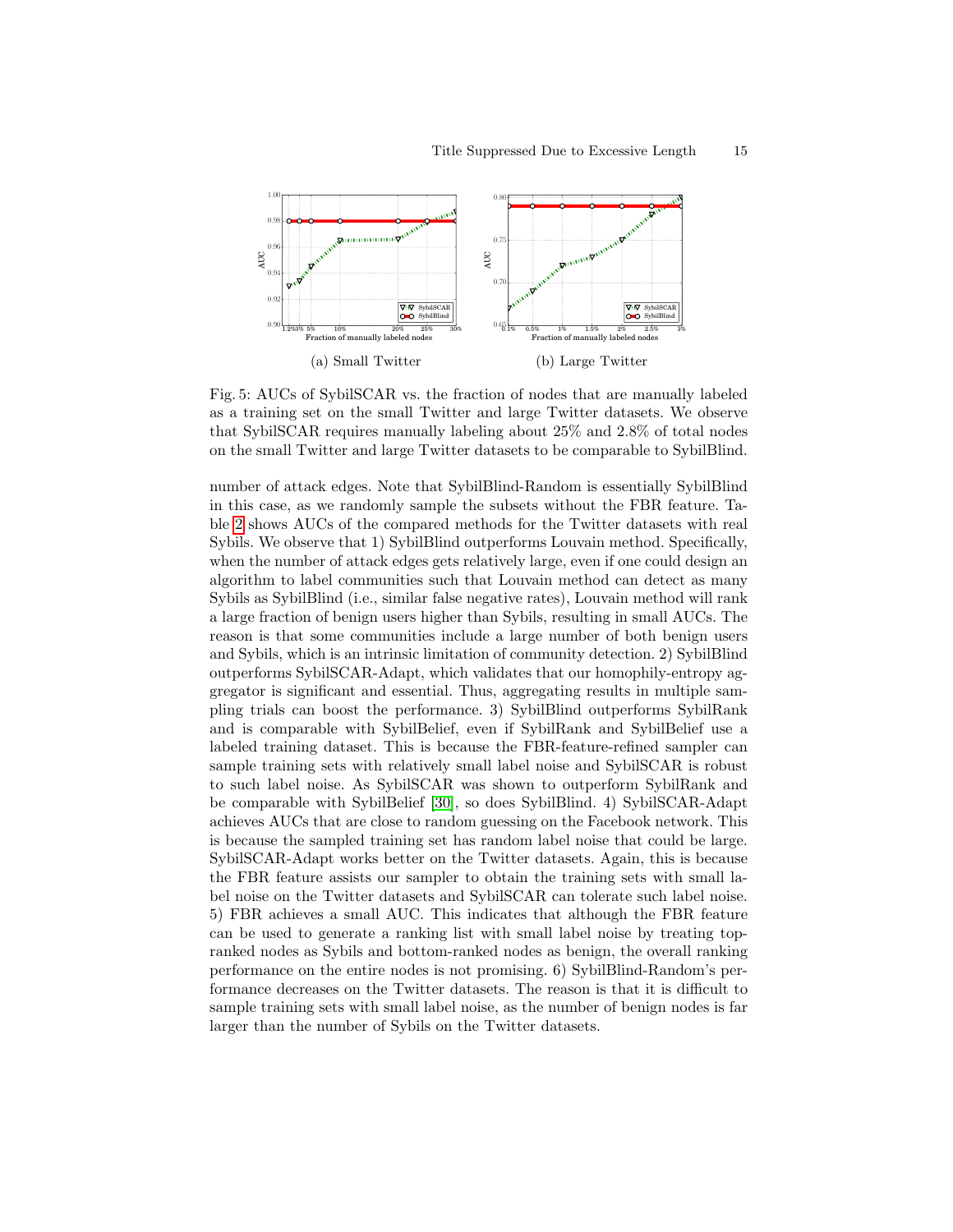<span id="page-14-0"></span>

Fig. 5: AUCs of SybilSCAR vs. the fraction of nodes that are manually labeled as a training set on the small Twitter and large Twitter datasets. We observe that SybilSCAR requires manually labeling about 25% and 2.8% of total nodes on the small Twitter and large Twitter datasets to be comparable to SybilBlind.

number of attack edges. Note that SybilBlind-Random is essentially SybilBlind in this case, as we randomly sample the subsets without the FBR feature. Table [2](#page-13-3) shows AUCs of the compared methods for the Twitter datasets with real Sybils. We observe that 1) SybilBlind outperforms Louvain method. Specifically, when the number of attack edges gets relatively large, even if one could design an algorithm to label communities such that Louvain method can detect as many Sybils as SybilBlind (i.e., similar false negative rates), Louvain method will rank a large fraction of benign users higher than Sybils, resulting in small AUCs. The reason is that some communities include a large number of both benign users and Sybils, which is an intrinsic limitation of community detection. 2) SybilBlind outperforms SybilSCAR-Adapt, which validates that our homophily-entropy aggregator is significant and essential. Thus, aggregating results in multiple sampling trials can boost the performance. 3) SybilBlind outperforms SybilRank and is comparable with SybilBelief, even if SybilRank and SybilBelief use a labeled training dataset. This is because the FBR-feature-refined sampler can sample training sets with relatively small label noise and SybilSCAR is robust to such label noise. As SybilSCAR was shown to outperform SybilRank and be comparable with SybilBelief [\[30\]](#page-18-5), so does SybilBlind. 4) SybilSCAR-Adapt achieves AUCs that are close to random guessing on the Facebook network. This is because the sampled training set has random label noise that could be large. SybilSCAR-Adapt works better on the Twitter datasets. Again, this is because the FBR feature assists our sampler to obtain the training sets with small label noise on the Twitter datasets and SybilSCAR can tolerate such label noise. 5) FBR achieves a small AUC. This indicates that although the FBR feature can be used to generate a ranking list with small label noise by treating topranked nodes as Sybils and bottom-ranked nodes as benign, the overall ranking performance on the entire nodes is not promising. 6) SybilBlind-Random's performance decreases on the Twitter datasets. The reason is that it is difficult to sample training sets with small label noise, as the number of benign nodes is far larger than the number of Sybils on the Twitter datasets.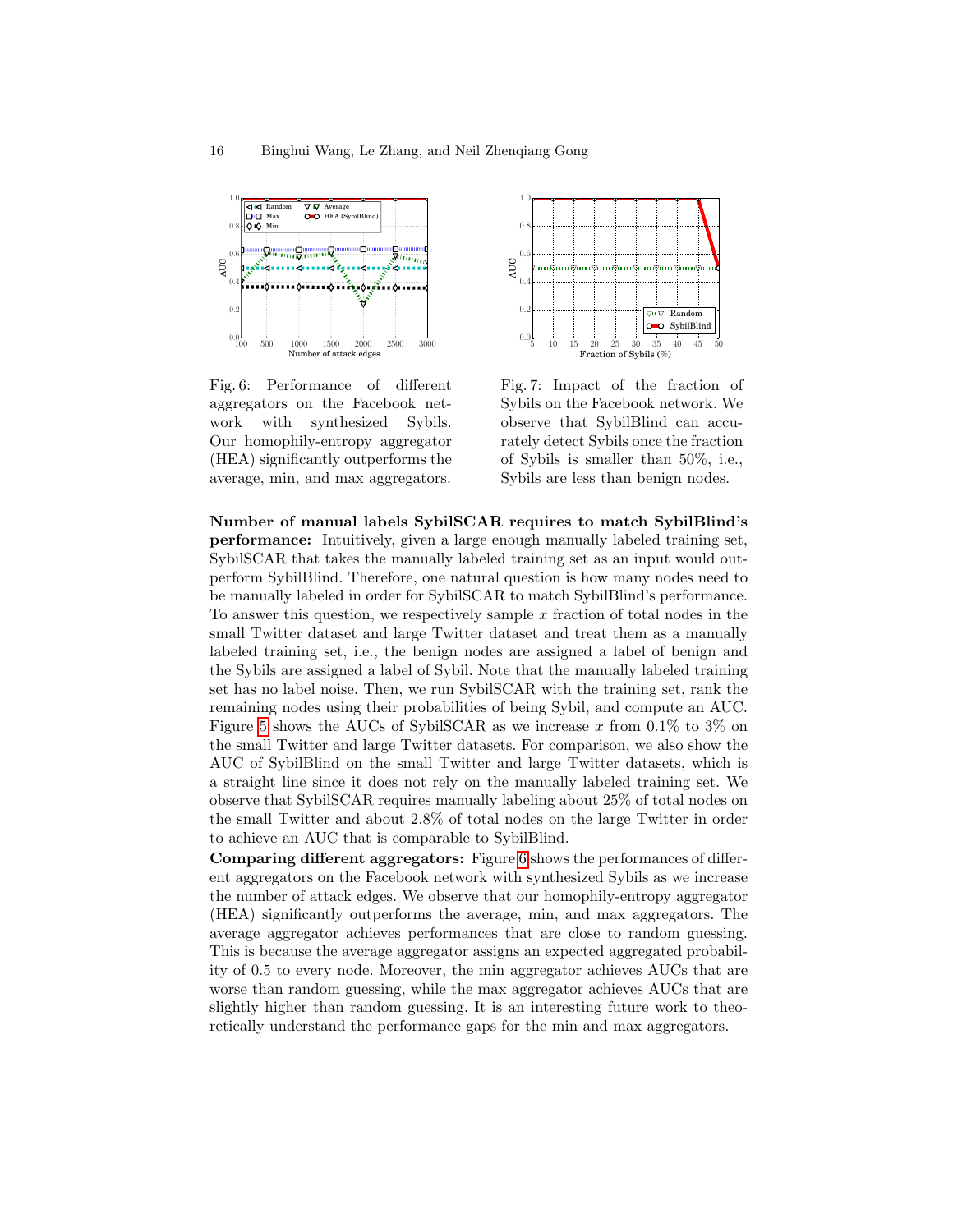<span id="page-15-0"></span>

Fig. 6: Performance of different aggregators on the Facebook network with synthesized Sybils. Our homophily-entropy aggregator (HEA) significantly outperforms the average, min, and max aggregators.



Fig. 7: Impact of the fraction of Sybils on the Facebook network. We observe that SybilBlind can accurately detect Sybils once the fraction of Sybils is smaller than 50%, i.e., Sybils are less than benign nodes.

Number of manual labels SybilSCAR requires to match SybilBlind's performance: Intuitively, given a large enough manually labeled training set, SybilSCAR that takes the manually labeled training set as an input would outperform SybilBlind. Therefore, one natural question is how many nodes need to be manually labeled in order for SybilSCAR to match SybilBlind's performance. To answer this question, we respectively sample  $x$  fraction of total nodes in the small Twitter dataset and large Twitter dataset and treat them as a manually labeled training set, i.e., the benign nodes are assigned a label of benign and the Sybils are assigned a label of Sybil. Note that the manually labeled training set has no label noise. Then, we run SybilSCAR with the training set, rank the remaining nodes using their probabilities of being Sybil, and compute an AUC. Figure [5](#page-14-0) shows the AUCs of SybilSCAR as we increase x from 0.1% to 3% on the small Twitter and large Twitter datasets. For comparison, we also show the AUC of SybilBlind on the small Twitter and large Twitter datasets, which is a straight line since it does not rely on the manually labeled training set. We observe that SybilSCAR requires manually labeling about 25% of total nodes on the small Twitter and about 2.8% of total nodes on the large Twitter in order to achieve an AUC that is comparable to SybilBlind.

Comparing different aggregators: Figure [6](#page-15-0) shows the performances of different aggregators on the Facebook network with synthesized Sybils as we increase the number of attack edges. We observe that our homophily-entropy aggregator (HEA) significantly outperforms the average, min, and max aggregators. The average aggregator achieves performances that are close to random guessing. This is because the average aggregator assigns an expected aggregated probability of 0.5 to every node. Moreover, the min aggregator achieves AUCs that are worse than random guessing, while the max aggregator achieves AUCs that are slightly higher than random guessing. It is an interesting future work to theoretically understand the performance gaps for the min and max aggregators.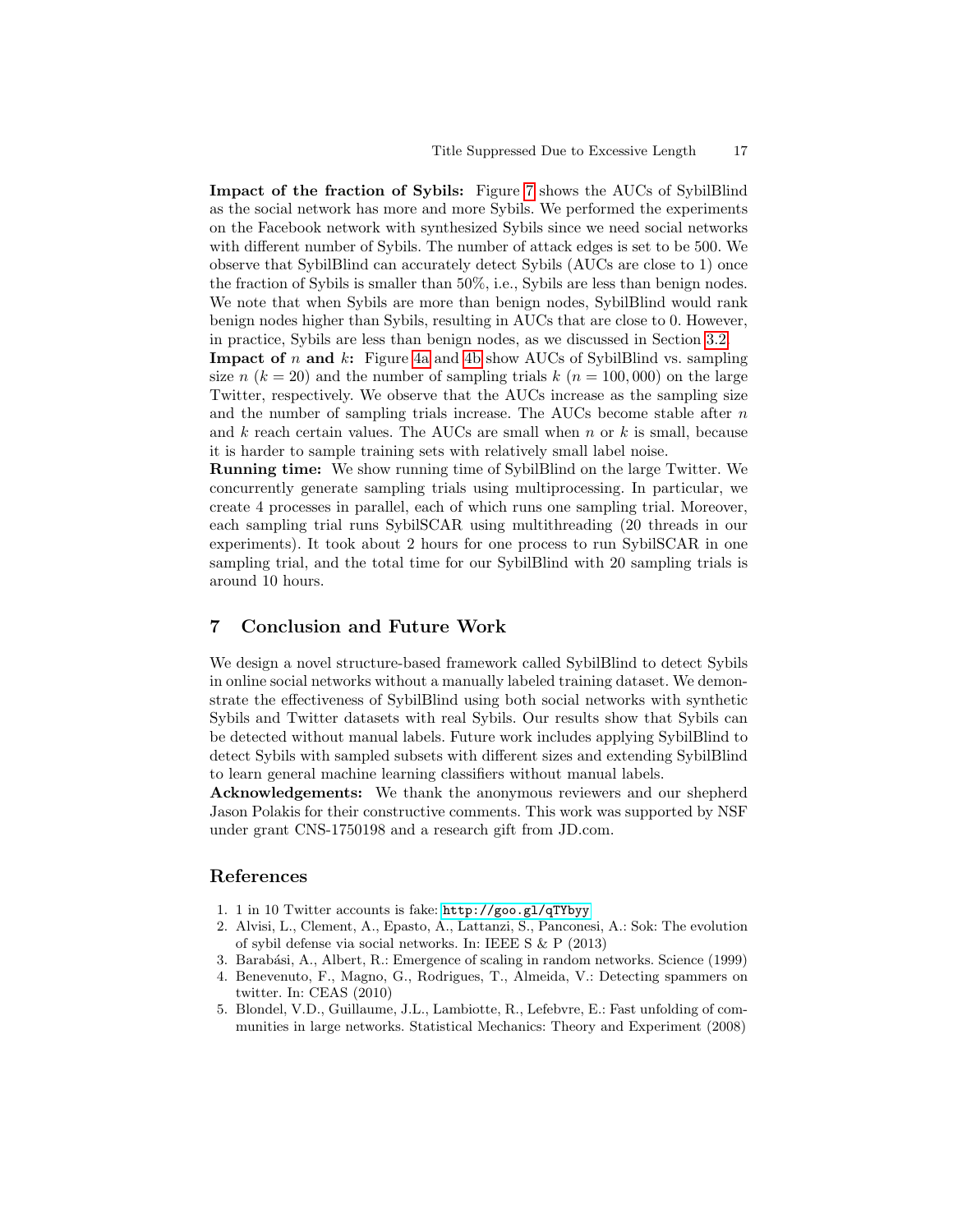Impact of the fraction of Sybils: Figure [7](#page-15-0) shows the AUCs of SybilBlind as the social network has more and more Sybils. We performed the experiments on the Facebook network with synthesized Sybils since we need social networks with different number of Sybils. The number of attack edges is set to be 500. We observe that SybilBlind can accurately detect Sybils (AUCs are close to 1) once the fraction of Sybils is smaller than 50%, i.e., Sybils are less than benign nodes. We note that when Sybils are more than benign nodes, SybilBlind would rank benign nodes higher than Sybils, resulting in AUCs that are close to 0. However, in practice, Sybils are less than benign nodes, as we discussed in Section [3.2.](#page-4-0)

**Impact of n and k:** Figure [4a](#page-13-4) and [4b](#page-13-5) show AUCs of SybilBlind vs. sampling size n  $(k = 20)$  and the number of sampling trials k  $(n = 100, 000)$  on the large Twitter, respectively. We observe that the AUCs increase as the sampling size and the number of sampling trials increase. The AUCs become stable after  $n$ and  $k$  reach certain values. The AUCs are small when  $n$  or  $k$  is small, because it is harder to sample training sets with relatively small label noise.

Running time: We show running time of SybilBlind on the large Twitter. We concurrently generate sampling trials using multiprocessing. In particular, we create 4 processes in parallel, each of which runs one sampling trial. Moreover, each sampling trial runs SybilSCAR using multithreading (20 threads in our experiments). It took about 2 hours for one process to run SybilSCAR in one sampling trial, and the total time for our SybilBlind with 20 sampling trials is around 10 hours.

# 7 Conclusion and Future Work

We design a novel structure-based framework called SybilBlind to detect Sybils in online social networks without a manually labeled training dataset. We demonstrate the effectiveness of SybilBlind using both social networks with synthetic Sybils and Twitter datasets with real Sybils. Our results show that Sybils can be detected without manual labels. Future work includes applying SybilBlind to detect Sybils with sampled subsets with different sizes and extending SybilBlind to learn general machine learning classifiers without manual labels.

Acknowledgements: We thank the anonymous reviewers and our shepherd Jason Polakis for their constructive comments. This work was supported by NSF under grant CNS-1750198 and a research gift from JD.com.

# References

- <span id="page-16-0"></span>1. 1 in 10 Twitter accounts is fake: <http://goo.gl/qTYbyy>
- <span id="page-16-1"></span>2. Alvisi, L., Clement, A., Epasto, A., Lattanzi, S., Panconesi, A.: Sok: The evolution of sybil defense via social networks. In: IEEE S & P (2013)
- <span id="page-16-3"></span>3. Barabási, A., Albert, R.: Emergence of scaling in random networks. Science (1999)
- <span id="page-16-2"></span>4. Benevenuto, F., Magno, G., Rodrigues, T., Almeida, V.: Detecting spammers on twitter. In: CEAS (2010)
- <span id="page-16-4"></span>5. Blondel, V.D., Guillaume, J.L., Lambiotte, R., Lefebvre, E.: Fast unfolding of communities in large networks. Statistical Mechanics: Theory and Experiment (2008)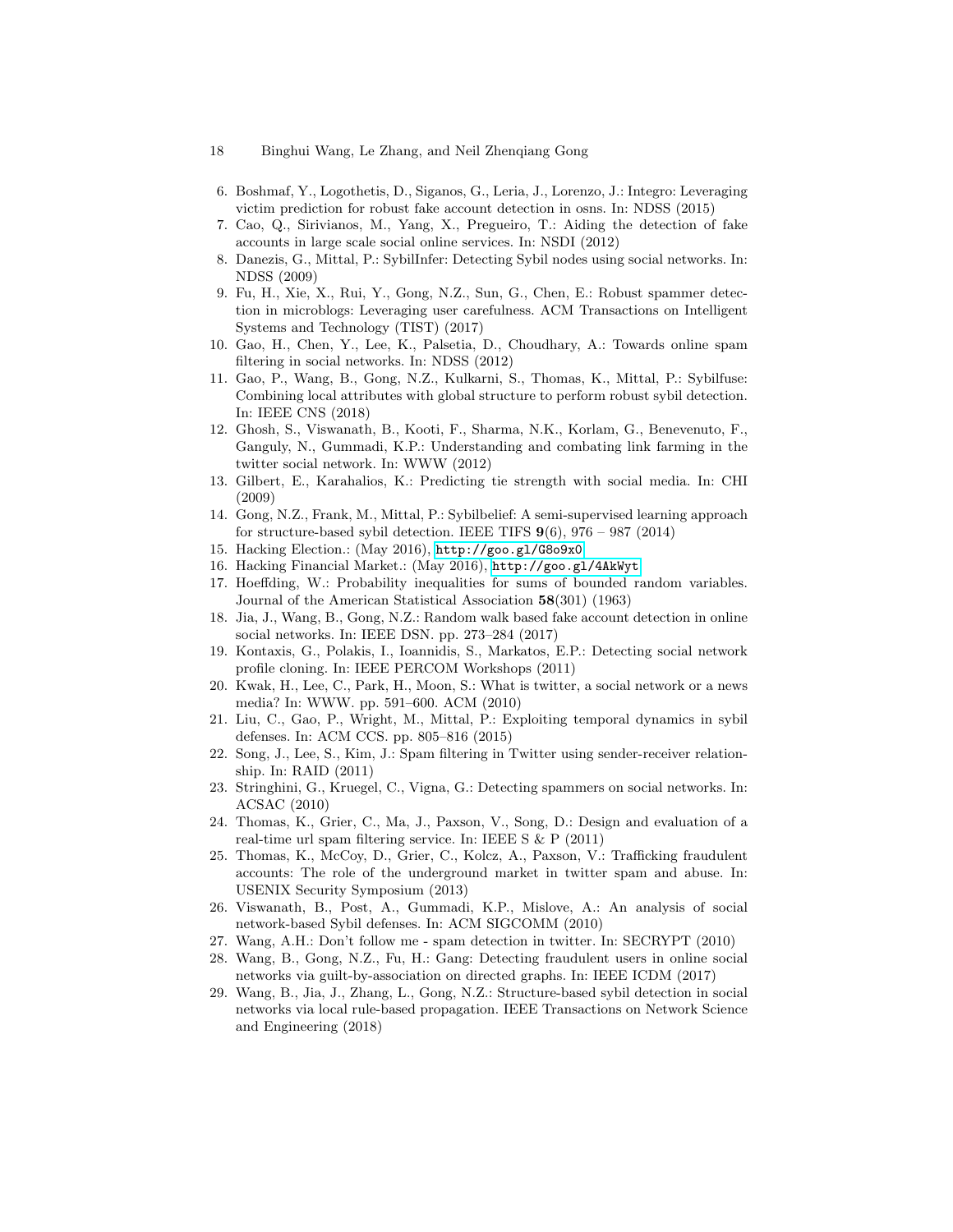- 18 Binghui Wang, Le Zhang, and Neil Zhenqiang Gong
- <span id="page-17-6"></span>6. Boshmaf, Y., Logothetis, D., Siganos, G., Leria, J., Lorenzo, J.: Integro: Leveraging victim prediction for robust fake account detection in osns. In: NDSS (2015)
- <span id="page-17-5"></span>7. Cao, Q., Sirivianos, M., Yang, X., Pregueiro, T.: Aiding the detection of fake accounts in large scale social online services. In: NSDI (2012)
- <span id="page-17-3"></span>8. Danezis, G., Mittal, P.: SybilInfer: Detecting Sybil nodes using social networks. In: NDSS (2009)
- <span id="page-17-12"></span>9. Fu, H., Xie, X., Rui, Y., Gong, N.Z., Sun, G., Chen, E.: Robust spammer detection in microblogs: Leveraging user carefulness. ACM Transactions on Intelligent Systems and Technology (TIST) (2017)
- <span id="page-17-17"></span>10. Gao, H., Chen, Y., Lee, K., Palsetia, D., Choudhary, A.: Towards online spam filtering in social networks. In: NDSS (2012)
- <span id="page-17-8"></span>11. Gao, P., Wang, B., Gong, N.Z., Kulkarni, S., Thomas, K., Mittal, P.: Sybilfuse: Combining local attributes with global structure to perform robust sybil detection. In: IEEE CNS (2018)
- <span id="page-17-19"></span>12. Ghosh, S., Viswanath, B., Kooti, F., Sharma, N.K., Korlam, G., Benevenuto, F., Ganguly, N., Gummadi, K.P.: Understanding and combating link farming in the twitter social network. In: WWW (2012)
- <span id="page-17-20"></span>13. Gilbert, E., Karahalios, K.: Predicting tie strength with social media. In: CHI (2009)
- <span id="page-17-7"></span>14. Gong, N.Z., Frank, M., Mittal, P.: Sybilbelief: A semi-supervised learning approach for structure-based sybil detection. IEEE TIFS  $9(6)$ ,  $976 - 987$  (2014)
- <span id="page-17-0"></span>15. Hacking Election.: (May 2016), <http://goo.gl/G8o9x0>
- <span id="page-17-1"></span>16. Hacking Financial Market.: (May 2016), <http://goo.gl/4AkWyt>
- <span id="page-17-23"></span>17. Hoeffding, W.: Probability inequalities for sums of bounded random variables. Journal of the American Statistical Association 58(301) (1963)
- <span id="page-17-9"></span>18. Jia, J., Wang, B., Gong, N.Z.: Random walk based fake account detection in online social networks. In: IEEE DSN. pp. 273–284 (2017)
- <span id="page-17-16"></span>19. Kontaxis, G., Polakis, I., Ioannidis, S., Markatos, E.P.: Detecting social network profile cloning. In: IEEE PERCOM Workshops (2011)
- <span id="page-17-22"></span>20. Kwak, H., Lee, C., Park, H., Moon, S.: What is twitter, a social network or a news media? In: WWW. pp. 591–600. ACM (2010)
- <span id="page-17-11"></span>21. Liu, C., Gao, P., Wright, M., Mittal, P.: Exploiting temporal dynamics in sybil defenses. In: ACM CCS. pp. 805–816 (2015)
- <span id="page-17-18"></span>22. Song, J., Lee, S., Kim, J.: Spam filtering in Twitter using sender-receiver relationship. In: RAID (2011)
- <span id="page-17-15"></span>23. Stringhini, G., Kruegel, C., Vigna, G.: Detecting spammers on social networks. In: ACSAC (2010)
- <span id="page-17-2"></span>24. Thomas, K., Grier, C., Ma, J., Paxson, V., Song, D.: Design and evaluation of a real-time url spam filtering service. In: IEEE S & P (2011)
- <span id="page-17-21"></span>25. Thomas, K., McCoy, D., Grier, C., Kolcz, A., Paxson, V.: Trafficking fraudulent accounts: The role of the underground market in twitter spam and abuse. In: USENIX Security Symposium (2013)
- <span id="page-17-4"></span>26. Viswanath, B., Post, A., Gummadi, K.P., Mislove, A.: An analysis of social network-based Sybil defenses. In: ACM SIGCOMM (2010)
- <span id="page-17-14"></span>27. Wang, A.H.: Don't follow me - spam detection in twitter. In: SECRYPT (2010)
- <span id="page-17-10"></span>28. Wang, B., Gong, N.Z., Fu, H.: Gang: Detecting fraudulent users in online social networks via guilt-by-association on directed graphs. In: IEEE ICDM (2017)
- <span id="page-17-13"></span>29. Wang, B., Jia, J., Zhang, L., Gong, N.Z.: Structure-based sybil detection in social networks via local rule-based propagation. IEEE Transactions on Network Science and Engineering (2018)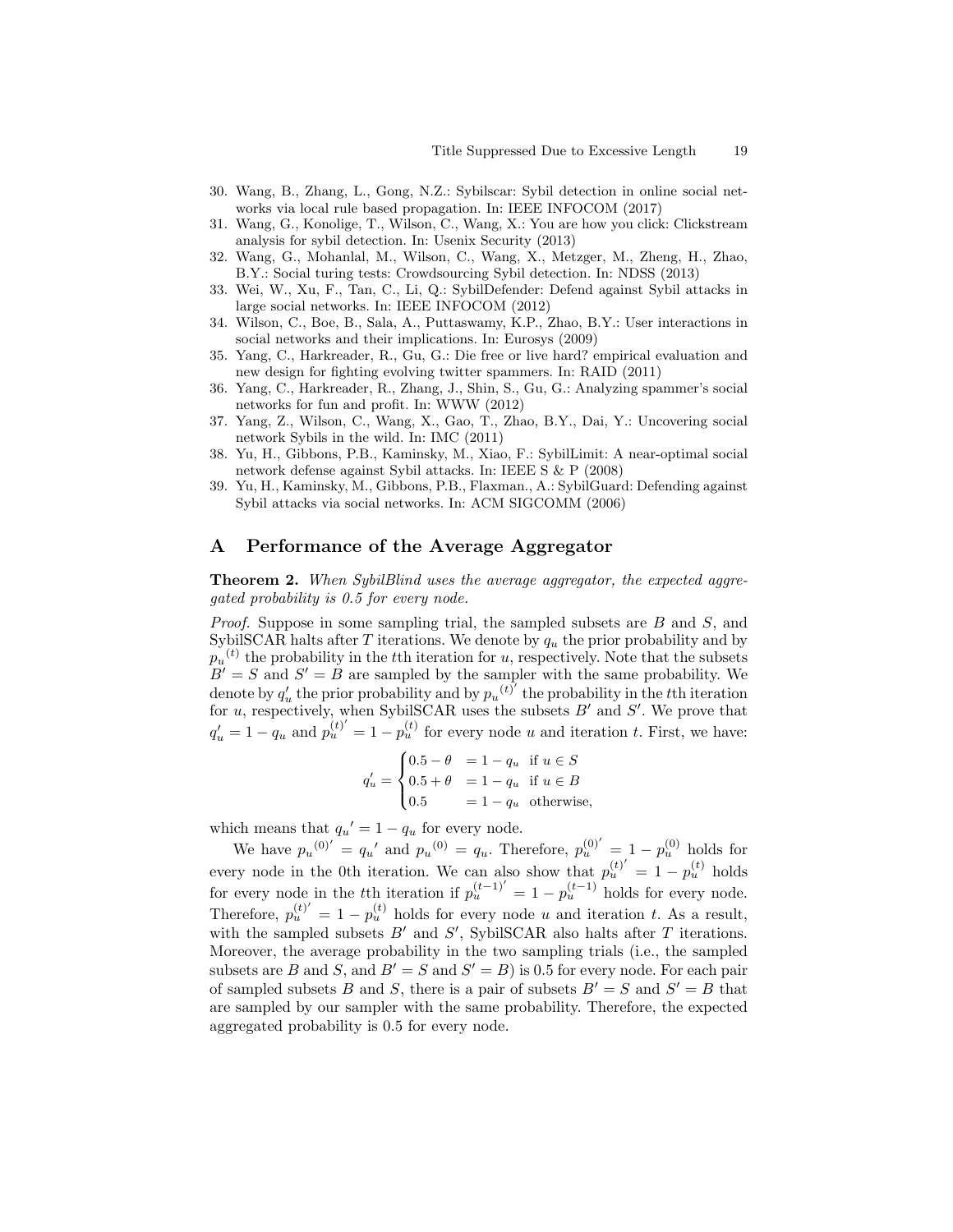- <span id="page-18-5"></span>30. Wang, B., Zhang, L., Gong, N.Z.: Sybilscar: Sybil detection in online social networks via local rule based propagation. In: IEEE INFOCOM (2017)
- <span id="page-18-8"></span>31. Wang, G., Konolige, T., Wilson, C., Wang, X.: You are how you click: Clickstream analysis for sybil detection. In: Usenix Security (2013)
- <span id="page-18-6"></span>32. Wang, G., Mohanlal, M., Wilson, C., Wang, X., Metzger, M., Zheng, H., Zhao, B.Y.: Social turing tests: Crowdsourcing Sybil detection. In: NDSS (2013)
- <span id="page-18-3"></span>33. Wei, W., Xu, F., Tan, C., Li, Q.: SybilDefender: Defend against Sybil attacks in large social networks. In: IEEE INFOCOM (2012)
- <span id="page-18-9"></span>34. Wilson, C., Boe, B., Sala, A., Puttaswamy, K.P., Zhao, B.Y.: User interactions in social networks and their implications. In: Eurosys (2009)
- <span id="page-18-7"></span>35. Yang, C., Harkreader, R., Gu, G.: Die free or live hard? empirical evaluation and new design for fighting evolving twitter spammers. In: RAID (2011)
- <span id="page-18-4"></span>36. Yang, C., Harkreader, R., Zhang, J., Shin, S., Gu, G.: Analyzing spammer's social networks for fun and profit. In: WWW (2012)
- <span id="page-18-2"></span>37. Yang, Z., Wilson, C., Wang, X., Gao, T., Zhao, B.Y., Dai, Y.: Uncovering social network Sybils in the wild. In: IMC (2011)
- <span id="page-18-1"></span>38. Yu, H., Gibbons, P.B., Kaminsky, M., Xiao, F.: SybilLimit: A near-optimal social network defense against Sybil attacks. In: IEEE S & P (2008)
- <span id="page-18-0"></span>39. Yu, H., Kaminsky, M., Gibbons, P.B., Flaxman., A.: SybilGuard: Defending against Sybil attacks via social networks. In: ACM SIGCOMM (2006)

# <span id="page-18-10"></span>A Performance of the Average Aggregator

Theorem 2. When SybilBlind uses the average aggregator, the expected aggregated probability is 0.5 for every node.

Proof. Suppose in some sampling trial, the sampled subsets are B and S, and SybilSCAR halts after T iterations. We denote by  $q_u$  the prior probability and by  $p_u^{(t)}$  the probability in the tth iteration for u, respectively. Note that the subsets  $B' = S$  and  $S' = B$  are sampled by the sampler with the same probability. We denote by  $q'_u$  the prior probability and by  $p_u^{(t)}$  the probability in the tth iteration for u, respectively, when SybilSCAR uses the subsets  $B'$  and  $S'$ . We prove that  $q'_u = 1 - q_u$  and  $p_u^{(t)}' = 1 - p_u^{(t)}$  for every node u and iteration t. First, we have:

$$
q_u' = \begin{cases} 0.5 - \theta &= 1 - q_u \quad \text{if } u \in S \\ 0.5 + \theta &= 1 - q_u \quad \text{if } u \in B \\ 0.5 &= 1 - q_u \quad \text{otherwise,} \end{cases}
$$

which means that  $q_u' = 1 - q_u$  for every node.

We have  $p_u^{(0)'} = q_u'$  and  $p_u^{(0)} = q_u$ . Therefore,  $p_u^{(0)'} = 1 - p_u^{(0)}$  holds for every node in the 0th iteration. We can also show that  $p_u^{(t)'} = 1 - p_u^{(t)}$  holds for every node in the tth iteration if  $p_u^{(t-1)'} = 1 - p_u^{(t-1)}$  holds for every node. Therefore,  $p_u^{(t)} = 1 - p_u^{(t)}$  holds for every node u and iteration t. As a result, with the sampled subsets  $B'$  and  $S'$ , SybilSCAR also halts after  $T$  iterations. Moreover, the average probability in the two sampling trials (i.e., the sampled subsets are B and S, and  $B' = S$  and  $S' = B$ ) is 0.5 for every node. For each pair of sampled subsets B and S, there is a pair of subsets  $B' = S$  and  $S' = B$  that are sampled by our sampler with the same probability. Therefore, the expected aggregated probability is 0.5 for every node.